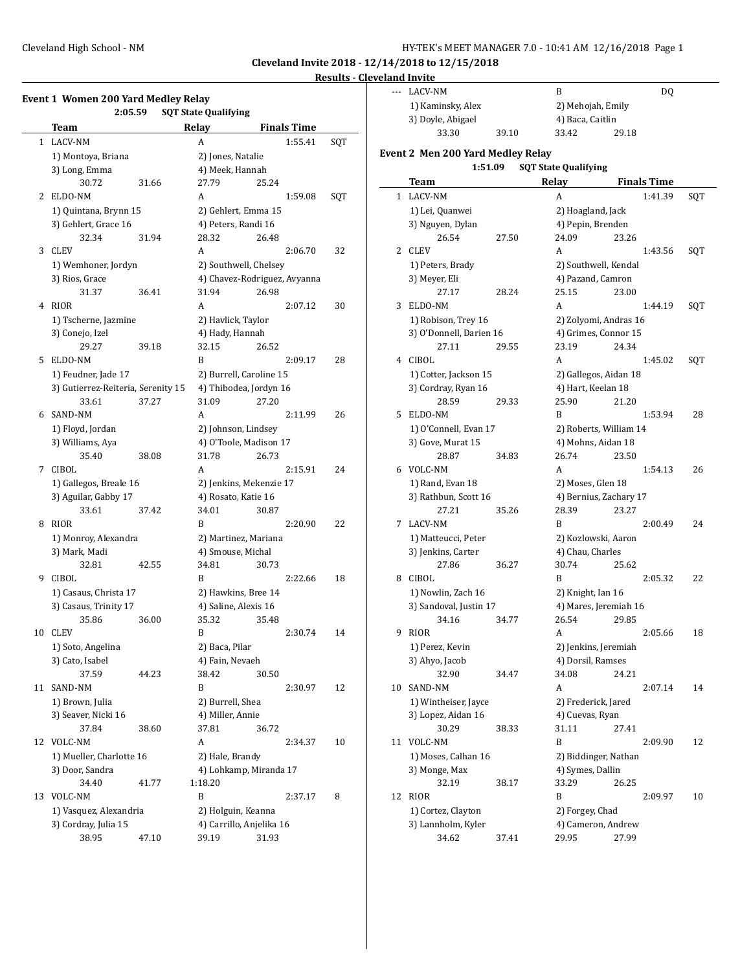**Cleveland Invite 2018 - 12/14/2018 to 12/15/2018**

# **Results - Cleveland Invite**

|    | 2:05.59                                     |       | <b>SQT State Qualifying</b> |                              |                    |     |
|----|---------------------------------------------|-------|-----------------------------|------------------------------|--------------------|-----|
|    | Team                                        |       | Relay                       |                              | <b>Finals Time</b> |     |
| 1  | LACV-NM                                     |       | A                           |                              | 1:55.41            | SQT |
|    | 1) Montoya, Briana                          |       | 2) Jones, Natalie           |                              |                    |     |
|    | 3) Long, Emma                               |       | 4) Meek, Hannah             |                              |                    |     |
|    | 30.72                                       | 31.66 | 27.79                       | 25.24                        |                    |     |
| 2  | ELDO-NM                                     |       | A                           |                              | 1:59.08            | SQT |
|    | 1) Quintana, Brynn 15                       |       |                             | 2) Gehlert, Emma 15          |                    |     |
|    | 3) Gehlert, Grace 16                        |       |                             | 4) Peters, Randi 16          |                    |     |
|    | 32.34                                       | 31.94 | 28.32                       | 26.48                        |                    |     |
| 3  | <b>CLEV</b>                                 |       | A                           |                              | 2:06.70            | 32  |
|    | 1) Wemhoner, Jordyn                         |       |                             | 2) Southwell, Chelsey        |                    |     |
|    | 3) Rios, Grace                              |       |                             | 4) Chavez-Rodriguez, Avyanna |                    |     |
|    | 31.37                                       | 36.41 | 31.94                       | 26.98                        |                    |     |
| 4  | <b>RIOR</b>                                 |       | A                           |                              | 2:07.12            | 30  |
|    | 1) Tscherne, Jazmine                        |       | 2) Havlick, Taylor          |                              |                    |     |
|    | 3) Conejo, Izel                             |       | 4) Hady, Hannah             |                              |                    |     |
|    | 29.27                                       | 39.18 | 32.15                       | 26.52                        |                    |     |
| 5  | ELDO-NM                                     |       | B                           |                              | 2:09.17            | 28  |
|    | 1) Feudner, Jade 17                         |       |                             | 2) Burrell, Caroline 15      |                    |     |
|    | 3) Gutierrez-Reiteria, Serenity 15          |       |                             | 4) Thibodea, Jordyn 16       |                    |     |
|    | 33.61                                       | 37.27 | 31.09                       | 27.20                        |                    |     |
| 6  | SAND-NM                                     |       | A                           |                              | 2:11.99            | 26  |
|    | 1) Floyd, Jordan                            |       |                             | 2) Johnson, Lindsey          |                    |     |
|    | 3) Williams, Aya                            |       |                             | 4) O'Toole, Madison 17       |                    |     |
|    | 35.40                                       | 38.08 | 31.78                       | 26.73                        |                    |     |
| 7  | CIBOL                                       |       | A                           |                              | 2:15.91            | 24  |
|    | 1) Gallegos, Breale 16                      |       |                             | 2) Jenkins, Mekenzie 17      |                    |     |
|    | 3) Aguilar, Gabby 17                        |       | 4) Rosato, Katie 16         |                              |                    |     |
|    | 33.61                                       | 37.42 | 34.01                       | 30.87                        |                    |     |
| 8  | <b>RIOR</b>                                 |       | B                           |                              | 2:20.90            | 22  |
|    | 1) Monroy, Alexandra                        |       |                             | 2) Martinez, Mariana         |                    |     |
|    | 3) Mark, Madi                               |       | 4) Smouse, Michal           |                              |                    |     |
|    | 32.81                                       | 42.55 | 34.81                       | 30.73                        |                    |     |
| 9  | CIBOL                                       |       | B                           |                              | 2:22.66            | 18  |
|    | 1) Casaus, Christa 17                       |       |                             | 2) Hawkins, Bree 14          |                    |     |
|    | 3) Casaus, Trinity 17                       |       | 4) Saline, Alexis 16        |                              |                    |     |
|    | 35.86                                       | 36.00 | 35.32                       | 35.48                        |                    |     |
| 10 | <b>CLEV</b>                                 |       | B                           |                              | 2:30.74            | 14  |
|    | 1) Soto, Angelina                           |       | 2) Baca, Pilar              |                              |                    |     |
|    | 3) Cato, Isabel                             |       | 4) Fain, Nevaeh             |                              |                    |     |
|    | 37.59                                       | 44.23 | 38.42                       | 30.50                        |                    |     |
| 11 | SAND-NM                                     |       | B                           |                              | 2:30.97            | 12  |
|    | 1) Brown, Julia                             |       | 2) Burrell, Shea            |                              |                    |     |
|    | 3) Seaver, Nicki 16                         |       | 4) Miller, Annie            |                              |                    |     |
|    | 37.84                                       | 38.60 | 37.81                       | 36.72                        |                    |     |
| 12 | VOLC-NM                                     |       | A                           |                              |                    | 10  |
|    |                                             |       | 2) Hale, Brandy             |                              | 2:34.37            |     |
|    | 1) Mueller, Charlotte 16<br>3) Door, Sandra |       |                             |                              |                    |     |
|    |                                             |       |                             | 4) Lohkamp, Miranda 17       |                    |     |
|    | 34.40                                       | 41.77 | 1:18.20                     |                              |                    |     |
| 13 | VOLC-NM                                     |       | B                           |                              | 2:37.17            | 8   |
|    | 1) Vasquez, Alexandria                      |       |                             | 2) Holguin, Keanna           |                    |     |
|    | 3) Cordray, Julia 15                        |       |                             | 4) Carrillo, Anjelika 16     |                    |     |
|    | 38.95                                       | 47.10 | 39.19                       | 31.93                        |                    |     |

|    | LACV-NM                           |       | B                           | DQ                 |     |
|----|-----------------------------------|-------|-----------------------------|--------------------|-----|
|    | 1) Kaminsky, Alex                 |       | 2) Mehojah, Emily           |                    |     |
|    | 3) Doyle, Abigael                 |       | 4) Baca, Caitlin            |                    |     |
|    | 33.30                             | 39.10 | 33.42                       | 29.18              |     |
|    | Event 2 Men 200 Yard Medley Relay |       |                             |                    |     |
|    | 1:51.09                           |       | <b>SQT State Qualifying</b> |                    |     |
|    | Team                              |       | Relay                       | <b>Finals Time</b> |     |
|    | 1 LACV-NM                         |       | A                           | 1:41.39            | SQT |
|    | 1) Lei, Quanwei                   |       | 2) Hoagland, Jack           |                    |     |
|    | 3) Nguyen, Dylan                  |       | 4) Pepin, Brenden           |                    |     |
|    | 26.54                             | 27.50 | 24.09                       | 23.26              |     |
| 2  | <b>CLEV</b>                       |       | А                           | 1:43.56            | SQT |
|    | 1) Peters, Brady                  |       | 2) Southwell, Kendal        |                    |     |
|    | 3) Meyer, Eli                     |       | 4) Pazand, Camron           |                    |     |
|    | 27.17                             | 28.24 | 25.15                       | 23.00              |     |
| 3  | ELDO-NM                           |       | A                           | 1:44.19            | SQT |
|    | 1) Robison, Trey 16               |       | 2) Zolyomi, Andras 16       |                    |     |
|    | 3) O'Donnell, Darien 16           |       | 4) Grimes, Connor 15        |                    |     |
|    | 27.11                             | 29.55 | 23.19                       | 24.34              |     |
|    | 4 CIBOL                           |       | A                           | 1:45.02            | SQT |
|    | 1) Cotter, Jackson 15             |       | 2) Gallegos, Aidan 18       |                    |     |
|    | 3) Cordray, Ryan 16               |       | 4) Hart, Keelan 18          |                    |     |
|    | 28.59                             | 29.33 | 25.90                       | 21.20              |     |
| 5  | ELDO-NM                           |       | B                           | 1:53.94            | 28  |
|    | 1) O'Connell, Evan 17             |       | 2) Roberts, William 14      |                    |     |
|    | 3) Gove, Murat 15                 |       | 4) Mohns, Aidan 18          |                    |     |
|    | 28.87                             | 34.83 | 26.74                       | 23.50              |     |
|    | 6 VOLC-NM                         |       | A                           | 1:54.13            | 26  |
|    |                                   |       |                             |                    |     |
|    | 1) Rand, Evan 18                  |       | 2) Moses, Glen 18           |                    |     |
|    | 3) Rathbun, Scott 16              |       | 4) Bernius, Zachary 17      |                    |     |
|    | 27.21                             | 35.26 | 28.39                       | 23.27              |     |
| 7  | LACV-NM                           |       | B                           | 2:00.49            | 24  |
|    | 1) Matteucci, Peter               |       | 2) Kozlowski, Aaron         |                    |     |
|    | 3) Jenkins, Carter                |       | 4) Chau, Charles            |                    |     |
|    | 27.86                             | 36.27 | 30.74                       | 25.62              |     |
| 8  | CIBOL                             |       | B                           | 2:05.32            | 22  |
|    | 1) Nowlin, Zach 16                |       | 2) Knight, Ian 16           |                    |     |
|    | 3) Sandoval, Justin 17            |       | 4) Mares, Jeremiah 16       |                    |     |
|    | 34.16                             | 34.77 | 26.54                       | 29.85              |     |
| 9  | RIOR                              |       | A                           | 2:05.66            | 18  |
|    | 1) Perez, Kevin                   |       | 2) Jenkins, Jeremiah        |                    |     |
|    | 3) Ahyo, Jacob                    |       | 4) Dorsil, Ramses           |                    |     |
|    | 32.90                             | 34.47 | 34.08                       | 24.21              |     |
| 10 | SAND-NM                           |       | A                           | 2:07.14            | 14  |
|    | 1) Wintheiser, Jayce              |       | 2) Frederick, Jared         |                    |     |
|    | 3) Lopez, Aidan 16                |       | 4) Cuevas, Ryan             |                    |     |
|    | 30.29                             | 38.33 | 31.11                       | 27.41              |     |
| 11 | VOLC-NM                           |       | B                           | 2:09.90            | 12  |
|    | 1) Moses, Calhan 16               |       | 2) Biddinger, Nathan        |                    |     |
|    | 3) Monge, Max                     |       | 4) Symes, Dallin            |                    |     |
|    | 32.19                             | 38.17 | 33.29                       | 26.25              |     |
| 12 | RIOR                              |       | B                           | 2:09.97            | 10  |
|    | 1) Cortez, Clayton                |       | 2) Forgey, Chad             |                    |     |
|    | 3) Lannholm, Kyler                |       | 4) Cameron, Andrew          |                    |     |
|    | 34.62                             | 37.41 | 29.95                       | 27.99              |     |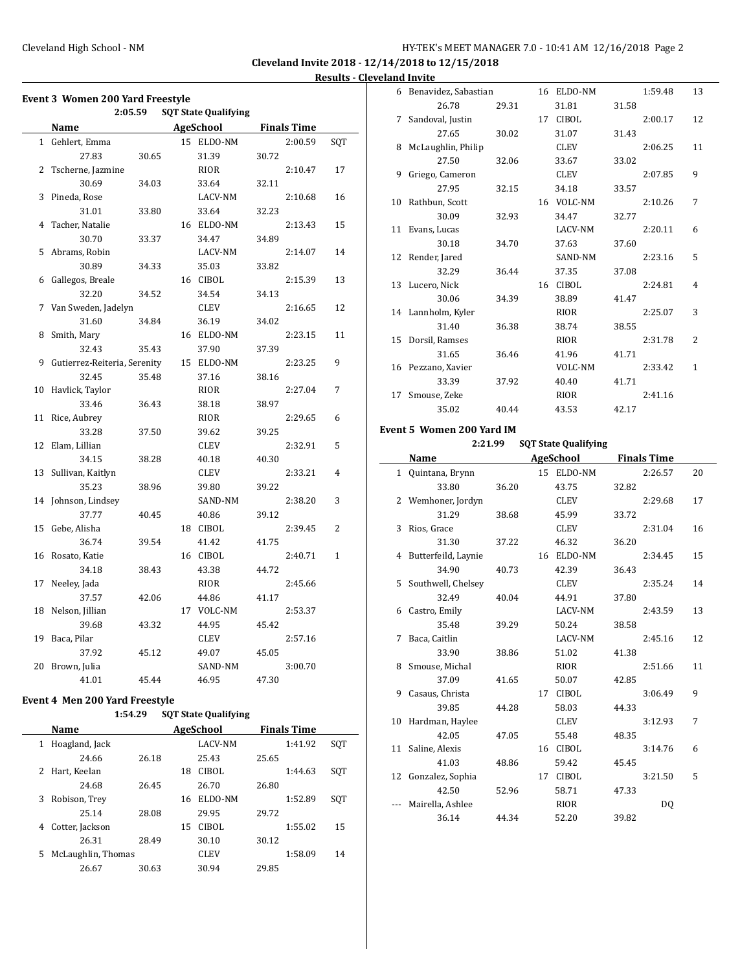**Cleveland Invite 2018 - 12/14/2018 to 12/15/2018 Results - Cleveland Invite**

|              | Name                         |       | AgeSchool   |       | <b>Finals Time</b> |     |
|--------------|------------------------------|-------|-------------|-------|--------------------|-----|
| $\mathbf{1}$ | Gehlert, Emma                |       | 15 ELDO-NM  |       | 2:00.59            | SQT |
|              | 27.83                        | 30.65 | 31.39       | 30.72 |                    |     |
| 2            | Tscherne, Jazmine            |       | RIOR        |       | 2:10.47            | 17  |
|              | 30.69                        | 34.03 | 33.64       | 32.11 |                    |     |
| 3            | Pineda, Rose                 |       | LACV-NM     |       | 2:10.68            | 16  |
|              | 31.01                        | 33.80 | 33.64       | 32.23 |                    |     |
| 4            | Tacher, Natalie              |       | 16 ELDO-NM  |       | 2:13.43            | 15  |
|              | 30.70                        | 33.37 | 34.47       | 34.89 |                    |     |
| 5            | Abrams, Robin                |       | LACV-NM     |       | 2:14.07            | 14  |
|              | 30.89                        | 34.33 | 35.03       | 33.82 |                    |     |
| 6            | Gallegos, Breale             |       | 16 CIBOL    |       | 2:15.39            | 13  |
|              | 32.20                        | 34.52 | 34.54       | 34.13 |                    |     |
| 7            | Van Sweden, Jadelyn          |       | CLEV        |       | 2:16.65            | 12  |
|              | 31.60                        | 34.84 | 36.19       | 34.02 |                    |     |
| 8            | Smith, Mary                  |       | 16 ELDO-NM  |       | 2:23.15            | 11  |
|              | 32.43                        | 35.43 | 37.90       | 37.39 |                    |     |
| 9            | Gutierrez-Reiteria, Serenity |       | 15 ELDO-NM  |       | 2:23.25            | 9   |
|              | 32.45                        | 35.48 | 37.16       | 38.16 |                    |     |
| 10           | Havlick, Taylor              |       | <b>RIOR</b> |       | 2:27.04            | 7   |
|              | 33.46                        | 36.43 | 38.18       | 38.97 |                    |     |
| 11           | Rice, Aubrey                 |       | <b>RIOR</b> |       | 2:29.65            | 6   |
|              | 33.28                        | 37.50 | 39.62       | 39.25 |                    |     |
| 12           | Elam, Lillian                |       | CLEV        |       | 2:32.91            | 5   |
|              | 34.15                        | 38.28 | 40.18       | 40.30 |                    |     |
| 13           | Sullivan, Kaitlyn            |       | CLEV        |       | 2:33.21            | 4   |
|              | 35.23                        | 38.96 | 39.80       | 39.22 |                    |     |
| 14           | Johnson, Lindsey             |       | SAND-NM     |       | 2:38.20            | 3   |
|              | 37.77                        | 40.45 | 40.86       | 39.12 |                    |     |
| 15           | Gebe, Alisha                 |       | 18 CIBOL    |       | 2:39.45            | 2   |
|              | 36.74                        | 39.54 | 41.42       | 41.75 |                    |     |
| 16           | Rosato, Katie                |       | 16 CIBOL    |       | 2:40.71            | 1   |
|              | 34.18                        | 38.43 | 43.38       | 44.72 |                    |     |
| 17           | Neeley, Jada                 |       | <b>RIOR</b> |       | 2:45.66            |     |
|              | 37.57                        | 42.06 | 44.86       | 41.17 |                    |     |
| 18           | Nelson, Jillian              |       | 17 VOLC-NM  |       | 2:53.37            |     |
|              | 39.68                        | 43.32 | 44.95       | 45.42 |                    |     |
| 19           | Baca, Pilar                  |       | CLEV        |       | 2:57.16            |     |
|              | 37.92                        | 45.12 | 49.07       | 45.05 |                    |     |
| 20           | Brown, Julia                 |       | SAND-NM     |       | 3:00.70            |     |
|              | 41.01                        | 45.44 | 46.95       | 47.30 |                    |     |

## **Event 4 Men 200 Yard Freestyle**

| 1:54.29 |  | <b>SQT State Qualifying</b> |
|---------|--|-----------------------------|
|---------|--|-----------------------------|

|   | Name               |       |    | AgeSchool      |       | <b>Finals Time</b> |     |
|---|--------------------|-------|----|----------------|-------|--------------------|-----|
| 1 | Hoagland, Jack     |       |    | <b>LACV-NM</b> |       | 1:41.92            | SQT |
|   | 24.66              | 26.18 |    | 25.43          | 25.65 |                    |     |
| 2 | Hart, Keelan       |       | 18 | <b>CIBOL</b>   |       | 1:44.63            | SQT |
|   | 24.68              | 26.45 |    | 26.70          | 26.80 |                    |     |
| 3 | Robison, Trey      |       | 16 | ELDO-NM        |       | 1:52.89            | SQT |
|   | 25.14              | 28.08 |    | 29.95          | 29.72 |                    |     |
| 4 | Cotter, Jackson    |       | 15 | CIBOL          |       | 1:55.02            | 15  |
|   | 26.31              | 28.49 |    | 30.10          | 30.12 |                    |     |
| 5 | McLaughlin, Thomas |       |    | <b>CLEV</b>    |       | 1:58.09            | 14  |
|   | 26.67              | 30.63 |    | 30.94          | 29.85 |                    |     |

|    | 6 Benavidez, Sabastian |       |    | 16 ELDO-NM   |       | 1:59.48 | 13             |
|----|------------------------|-------|----|--------------|-------|---------|----------------|
|    | 26.78                  | 29.31 |    | 31.81        | 31.58 |         |                |
| 7  | Sandoval, Justin       |       | 17 | CIBOL        |       | 2:00.17 | 12             |
|    | 27.65                  | 30.02 |    | 31.07        | 31.43 |         |                |
| 8  | McLaughlin, Philip     |       |    | <b>CLEV</b>  |       | 2:06.25 | 11             |
|    | 27.50                  | 32.06 |    | 33.67        | 33.02 |         |                |
| 9  | Griego, Cameron        |       |    | <b>CLEV</b>  |       | 2:07.85 | 9              |
|    | 27.95                  | 32.15 |    | 34.18        | 33.57 |         |                |
| 10 | Rathbun, Scott         |       |    | 16 VOLC-NM   |       | 2:10.26 | 7              |
|    | 30.09                  | 32.93 |    | 34.47        | 32.77 |         |                |
| 11 | Evans, Lucas           |       |    | LACV-NM      |       | 2:20.11 | 6              |
|    | 30.18                  | 34.70 |    | 37.63        | 37.60 |         |                |
| 12 | Render, Jared          |       |    | SAND-NM      |       | 2:23.16 | 5              |
|    | 32.29                  | 36.44 |    | 37.35        | 37.08 |         |                |
| 13 | Lucero, Nick           |       | 16 | <b>CIBOL</b> |       | 2:24.81 | 4              |
|    | 30.06                  | 34.39 |    | 38.89        | 41.47 |         |                |
|    | 14 Lannholm, Kyler     |       |    | <b>RIOR</b>  |       | 2:25.07 | 3              |
|    | 31.40                  | 36.38 |    | 38.74        | 38.55 |         |                |
| 15 | Dorsil, Ramses         |       |    | <b>RIOR</b>  |       | 2:31.78 | $\overline{2}$ |
|    | 31.65                  | 36.46 |    | 41.96        | 41.71 |         |                |
|    | 16 Pezzano, Xavier     |       |    | VOLC-NM      |       | 2:33.42 | 1              |
|    | 33.39                  | 37.92 |    | 40.40        | 41.71 |         |                |
| 17 | Smouse, Zeke           |       |    | <b>RIOR</b>  |       | 2:41.16 |                |
|    | 35.02                  | 40.44 |    | 43.53        | 42.17 |         |                |

#### **Event 5 Women 200 Yard IM**

## **2:21.99 SQT State Qualifying**

|     | Name                |       |    | <b>AgeSchool</b> |       | <b>Finals Time</b> |    |
|-----|---------------------|-------|----|------------------|-------|--------------------|----|
| 1   | Quintana, Brynn     |       |    | 15 ELDO-NM       |       | 2:26.57            | 20 |
|     | 33.80               | 36.20 |    | 43.75            | 32.82 |                    |    |
| 2   | Wemhoner, Jordyn    |       |    | <b>CLEV</b>      |       | 2:29.68            | 17 |
|     | 31.29               | 38.68 |    | 45.99            | 33.72 |                    |    |
| 3   | Rios, Grace         |       |    | <b>CLEV</b>      |       | 2:31.04            | 16 |
|     | 31.30               | 37.22 |    | 46.32            | 36.20 |                    |    |
| 4   | Butterfeild, Laynie |       | 16 | ELDO-NM          |       | 2:34.45            | 15 |
|     | 34.90               | 40.73 |    | 42.39            | 36.43 |                    |    |
| 5.  | Southwell, Chelsey  |       |    | <b>CLEV</b>      |       | 2:35.24            | 14 |
|     | 32.49               | 40.04 |    | 44.91            | 37.80 |                    |    |
| 6   | Castro, Emily       |       |    | LACV-NM          |       | 2:43.59            | 13 |
|     | 35.48               | 39.29 |    | 50.24            | 38.58 |                    |    |
| 7   | Baca, Caitlin       |       |    | LACV-NM          |       | 2:45.16            | 12 |
|     | 33.90               | 38.86 |    | 51.02            | 41.38 |                    |    |
| 8   | Smouse, Michal      |       |    | RIOR             |       | 2:51.66            | 11 |
|     | 37.09               | 41.65 |    | 50.07            | 42.85 |                    |    |
| 9   | Casaus, Christa     |       | 17 | <b>CIBOL</b>     |       | 3:06.49            | 9  |
|     | 39.85               | 44.28 |    | 58.03            | 44.33 |                    |    |
| 10  | Hardman, Haylee     |       |    | <b>CLEV</b>      |       | 3:12.93            | 7  |
|     | 42.05               | 47.05 |    | 55.48            | 48.35 |                    |    |
| 11  | Saline, Alexis      |       |    | 16 CIBOL         |       | 3:14.76            | 6  |
|     | 41.03               | 48.86 |    | 59.42            | 45.45 |                    |    |
| 12  | Gonzalez, Sophia    |       |    | 17 CIBOL         |       | 3:21.50            | 5  |
|     | 42.50               | 52.96 |    | 58.71            | 47.33 |                    |    |
| --- | Mairella, Ashlee    |       |    | <b>RIOR</b>      |       | D <sub>0</sub>     |    |
|     | 36.14               | 44.34 |    | 52.20            | 39.82 |                    |    |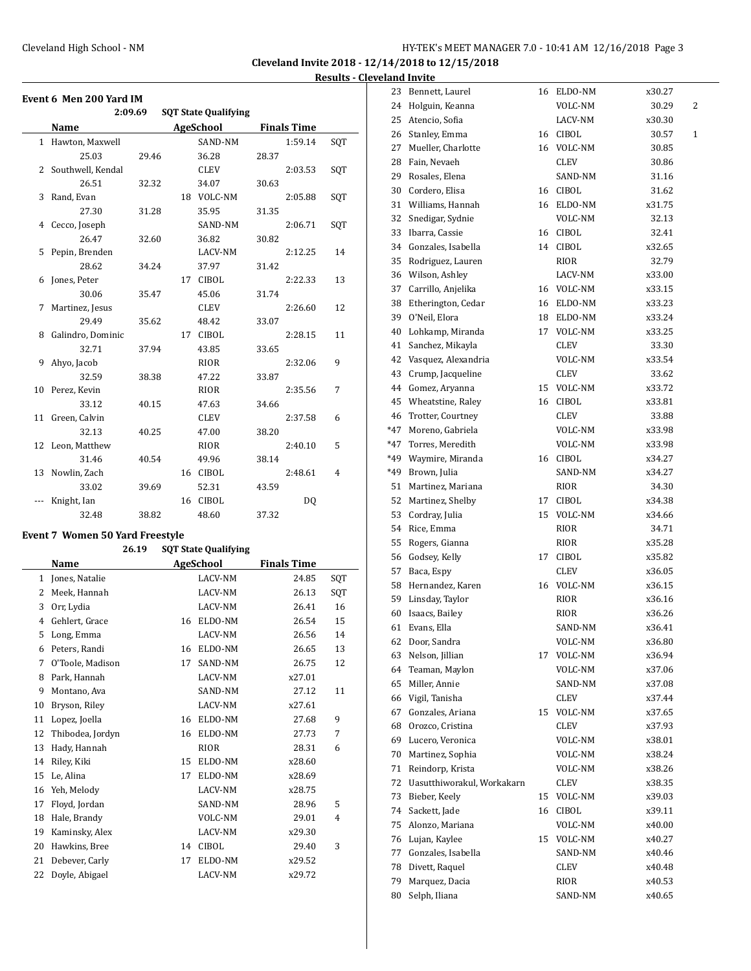**Cleveland Invite 2018 - 12/14/2018 to 12/15/2018 Results - Cleveland Invite**

|    | Event 6 Men 200 Yard IM |         |                             |       |                    |     |
|----|-------------------------|---------|-----------------------------|-------|--------------------|-----|
|    |                         | 2:09.69 | <b>SQT State Qualifying</b> |       |                    |     |
|    | Name                    |         | AgeSchool                   |       | <b>Finals Time</b> |     |
|    | 1 Hawton, Maxwell       |         | SAND-NM                     |       | 1:59.14            | SQT |
|    | 25.03                   | 29.46   | 36.28                       | 28.37 |                    |     |
|    | 2 Southwell, Kendal     |         | CLEV                        |       | 2:03.53            | SQT |
|    | 26.51                   | 32.32   | 34.07                       | 30.63 |                    |     |
| 3  | Rand, Evan              |         | 18 VOLC-NM                  |       | 2:05.88            | SQT |
|    | 27.30                   | 31.28   | 35.95                       | 31.35 |                    |     |
|    | 4 Cecco, Joseph         |         | SAND-NM                     |       | 2:06.71            | SQT |
|    | 26.47                   | 32.60   | 36.82                       | 30.82 |                    |     |
|    | 5 Pepin, Brenden        |         | LACV-NM                     |       | 2:12.25            | 14  |
|    | 28.62                   | 34.24   | 37.97                       | 31.42 |                    |     |
| 6  | Jones, Peter            |         | 17 CIBOL                    |       | 2:22.33            | 13  |
|    | 30.06                   | 35.47   | 45.06                       | 31.74 |                    |     |
| 7  | Martinez, Jesus         |         | CLEV                        |       | 2:26.60            | 12  |
|    | 29.49                   | 35.62   | 48.42                       | 33.07 |                    |     |
| 8  | Galindro, Dominic       |         | 17 CIBOL                    |       | 2:28.15            | 11  |
|    | 32.71                   | 37.94   | 43.85                       | 33.65 |                    |     |
| 9  | Ahyo, Jacob             |         | RIOR                        |       | 2:32.06            | 9   |
|    | 32.59                   | 38.38   | 47.22                       | 33.87 |                    |     |
| 10 | Perez, Kevin            |         | RIOR                        |       | 2:35.56            | 7   |
|    | 33.12                   | 40.15   | 47.63                       | 34.66 |                    |     |
|    | 11 Green, Calvin        |         | <b>CLEV</b>                 |       | 2:37.58            | 6   |
|    | 32.13                   | 40.25   | 47.00                       | 38.20 |                    |     |
|    | 12 Leon, Matthew        |         | RIOR                        |       | 2:40.10            | 5   |
|    | 31.46                   | 40.54   | 49.96                       | 38.14 |                    |     |
| 13 | Nowlin, Zach            |         | 16 CIBOL                    |       | 2:48.61            | 4   |
|    | 33.02                   | 39.69   | 52.31                       | 43.59 |                    |     |
|    | Knight, Ian             |         | 16 CIBOL                    |       | D <sub>0</sub>     |     |
|    | 32.48                   | 38.82   | 48.60                       | 37.32 |                    |     |

## **Event 7 Women 50 Yard Freestyle**

|    | 26.19            |    | <b>SQT State Qualifying</b> |                    |                |
|----|------------------|----|-----------------------------|--------------------|----------------|
|    | Name             |    | AgeSchool                   | <b>Finals Time</b> |                |
| 1  | Jones, Natalie   |    | LACV-NM                     | 24.85              | SQT            |
| 2  | Meek, Hannah     |    | LACV-NM                     | 26.13              | SQT            |
| 3  | Orr, Lydia       |    | LACV-NM                     | 26.41              | 16             |
| 4  | Gehlert, Grace   | 16 | ELDO-NM                     | 26.54              | 15             |
| 5  | Long, Emma       |    | LACV-NM                     | 26.56              | 14             |
| 6  | Peters, Randi    | 16 | ELDO-NM                     | 26.65              | 13             |
| 7  | O'Toole, Madison | 17 | SAND-NM                     | 26.75              | 12             |
| 8  | Park, Hannah     |    | LACV-NM                     | x27.01             |                |
| 9  | Montano, Ava     |    | SAND-NM                     | 27.12              | 11             |
| 10 | Bryson, Riley    |    | LACV-NM                     | x27.61             |                |
| 11 | Lopez, Joella    | 16 | ELDO-NM                     | 27.68              | 9              |
| 12 | Thibodea, Jordyn | 16 | ELDO-NM                     | 27.73              | 7              |
| 13 | Hady, Hannah     |    | <b>RIOR</b>                 | 28.31              | 6              |
| 14 | Riley, Kiki      | 15 | ELDO-NM                     | x28.60             |                |
| 15 | Le, Alina        | 17 | ELDO-NM                     | x28.69             |                |
| 16 | Yeh, Melody      |    | LACV-NM                     | x28.75             |                |
| 17 | Floyd, Jordan    |    | SAND-NM                     | 28.96              | 5              |
| 18 | Hale, Brandy     |    | VOLC-NM                     | 29.01              | $\overline{4}$ |
| 19 | Kaminsky, Alex   |    | LACV-NM                     | x29.30             |                |
| 20 | Hawkins, Bree    | 14 | <b>CIBOL</b>                | 29.40              | 3              |
| 21 | Debever, Carly   | 17 | ELDO-NM                     | x29.52             |                |
| 22 | Doyle, Abigael   |    | LACV-NM                     | x29.72             |                |

|       | 23 Bennett, Laurel                   | 16 | ELDO-NM            | x30.27 |              |
|-------|--------------------------------------|----|--------------------|--------|--------------|
|       | 24 Holguin, Keanna                   |    | VOLC-NM            | 30.29  | 2            |
|       | 25 Atencio, Sofia                    |    | LACV-NM            | x30.30 |              |
| 26    | Stanley, Emma                        |    | 16 CIBOL           | 30.57  | $\mathbf{1}$ |
| 27    | Mueller, Charlotte                   |    | 16 VOLC-NM         | 30.85  |              |
| 28    | Fain, Nevaeh                         |    | CLEV               | 30.86  |              |
| 29    | Rosales, Elena                       |    | SAND-NM            | 31.16  |              |
| 30    | Cordero, Elisa                       |    | 16 CIBOL           | 31.62  |              |
| 31    | Williams, Hannah                     |    | 16 ELDO-NM         | x31.75 |              |
| 32    | Snedigar, Sydnie                     |    | VOLC-NM            | 32.13  |              |
| 33    | Ibarra, Cassie                       |    | 16 CIBOL           | 32.41  |              |
|       | 34 Gonzales, Isabella                |    | 14 CIBOL           | x32.65 |              |
| 35    | Rodriguez, Lauren                    |    | RIOR               | 32.79  |              |
|       | 36 Wilson, Ashley                    |    | LACV-NM            | x33.00 |              |
| 37    | Carrillo, Anjelika                   |    | 16 VOLC-NM         | x33.15 |              |
| 38    | Etherington, Cedar                   |    | 16 ELDO-NM         | x33.23 |              |
| 39    | O'Neil, Elora                        | 18 | ELDO-NM            | x33.24 |              |
| 40    | Lohkamp, Miranda                     | 17 | VOLC-NM            | x33.25 |              |
| 41    | Sanchez, Mikayla                     |    | <b>CLEV</b>        | 33.30  |              |
| 42    | Vasquez, Alexandria                  |    | VOLC-NM            | x33.54 |              |
| 43    | Crump, Jacqueline                    |    | CLEV               | 33.62  |              |
| 44    | Gomez, Aryanna                       |    | 15 VOLC-NM         | x33.72 |              |
|       | 45 Wheatstine, Raley                 |    | 16 CIBOL           | x33.81 |              |
| 46    | Trotter, Courtney                    |    | CLEV               | 33.88  |              |
| $*47$ | Moreno, Gabriela                     |    | VOLC-NM            | x33.98 |              |
| *47   | Torres, Meredith                     |    | VOLC-NM            | x33.98 |              |
| *49   | Waymire, Miranda                     |    | 16 CIBOL           | x34.27 |              |
| *49   | Brown, Julia                         |    | SAND-NM            | x34.27 |              |
| 51    | Martinez, Mariana                    |    | RIOR               | 34.30  |              |
| 52    | Martinez, Shelby                     | 17 | CIBOL              | x34.38 |              |
| 53    | Cordray, Julia                       | 15 | VOLC-NM            | x34.66 |              |
|       | 54 Rice, Emma                        |    | RIOR               | 34.71  |              |
|       | 55 Rogers, Gianna                    |    | RIOR               | x35.28 |              |
|       | 56 Godsey, Kelly                     | 17 | CIBOL              | x35.82 |              |
| 57    | Baca, Espy                           |    | CLEV               | x36.05 |              |
|       | 58 Hernandez, Karen                  | 16 | VOLC-NM            | x36.15 |              |
|       | 59 Linsday, Taylor                   |    | RIOR               | x36.16 |              |
| 60    | Isaacs, Bailey                       |    | RIOR               | x36.26 |              |
| 61    | Evans, Ella                          |    | SAND-NM            | x36.41 |              |
| 62    | Door, Sandra                         |    | VOLC-NM            | x36.80 |              |
| 63    | Nelson, Jillian                      | 17 | VOLC-NM            | x36.94 |              |
| 64    | Teaman, Maylon                       |    | VOLC-NM            | x37.06 |              |
| 65    | Miller, Annie                        |    | SAND-NM            | x37.08 |              |
| 66    | Vigil, Tanisha                       |    | CLEV               | x37.44 |              |
| 67    | Gonzales, Ariana                     | 15 | VOLC-NM            | x37.65 |              |
| 68    | Orozco, Cristina                     |    | CLEV               | x37.93 |              |
|       | 69 Lucero, Veronica                  |    | VOLC-NM            | x38.01 |              |
| 70    | Martinez, Sophia                     |    | VOLC-NM            | x38.24 |              |
| 71    | Reindorp, Krista                     |    | VOLC-NM            | x38.26 |              |
| 72    | Uasutthiworakul, Workakarn           |    | CLEV               | x38.35 |              |
| 73    | Bieber, Keely                        | 15 | VOLC-NM            | x39.03 |              |
| 74    | Sackett, Jade                        | 16 | CIBOL              | x39.11 |              |
| 75    | Alonzo, Mariana                      |    | VOLC-NM            | x40.00 |              |
| 76    | Lujan, Kaylee                        | 15 |                    |        |              |
| 77    |                                      |    | VOLC-NM<br>SAND-NM | x40.27 |              |
| 78    | Gonzales, Isabella<br>Divett, Raquel |    |                    | x40.46 |              |
| 79    |                                      |    | CLEV               | x40.48 |              |
|       | Marquez, Dacia                       |    | RIOR               | x40.53 |              |
| 80    | Selph, Iliana                        |    | SAND-NM            | x40.65 |              |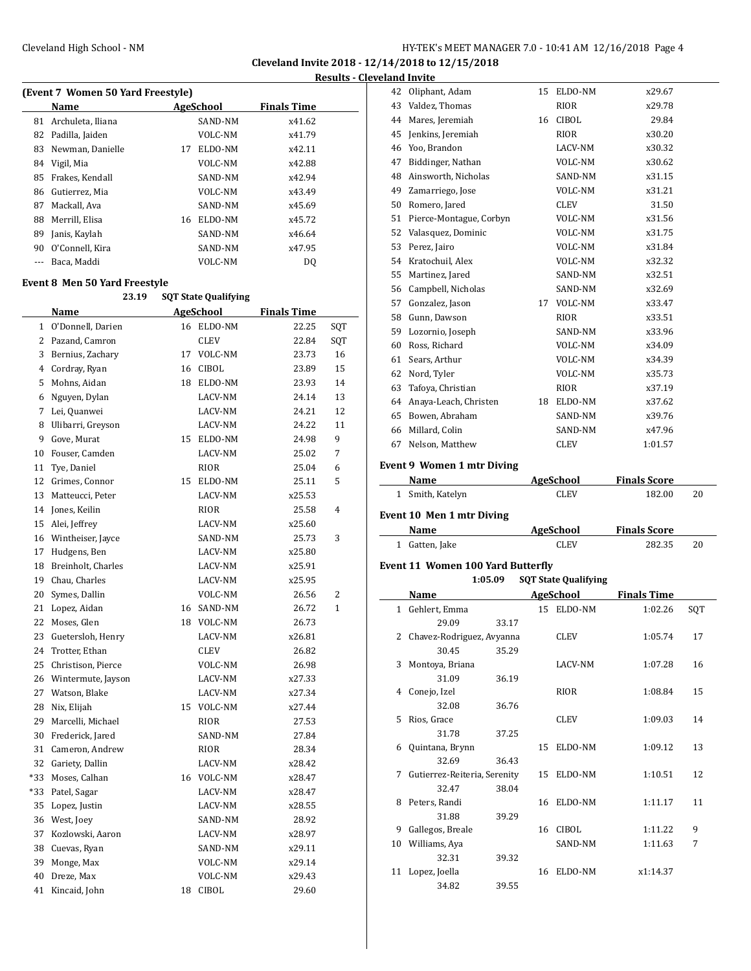|    | (Event 7 Women 50 Yard Freestyle) |    |           |                    |  |  |  |  |  |
|----|-----------------------------------|----|-----------|--------------------|--|--|--|--|--|
|    | Name                              |    | AgeSchool | <b>Finals Time</b> |  |  |  |  |  |
| 81 | Archuleta, Iliana                 |    | SAND-NM   | x41.62             |  |  |  |  |  |
| 82 | Padilla, Jaiden                   |    | VOLC-NM   | x41.79             |  |  |  |  |  |
| 83 | Newman, Danielle                  | 17 | ELDO-NM   | x42.11             |  |  |  |  |  |
| 84 | Vigil, Mia                        |    | VOLC-NM   | x42.88             |  |  |  |  |  |
| 85 | Frakes, Kendall                   |    | SAND-NM   | x42.94             |  |  |  |  |  |
| 86 | Gutierrez, Mia                    |    | VOLC-NM   | x43.49             |  |  |  |  |  |
| 87 | Mackall, Ava                      |    | SAND-NM   | x45.69             |  |  |  |  |  |
| 88 | Merrill, Elisa                    | 16 | ELDO-NM   | x45.72             |  |  |  |  |  |
| 89 | Janis, Kaylah                     |    | SAND-NM   | x46.64             |  |  |  |  |  |
| 90 | O'Connell. Kira                   |    | SAND-NM   | x47.95             |  |  |  |  |  |
|    | Baca, Maddi                       |    | VOLC-NM   | DQ                 |  |  |  |  |  |
|    |                                   |    |           |                    |  |  |  |  |  |

## **Event 8 Men 50 Yard Freestyle**

|       | 23.19                | <b>SQT State Qualifying</b> |              |                    |              |
|-------|----------------------|-----------------------------|--------------|--------------------|--------------|
|       | Name                 |                             | AgeSchool    | <b>Finals Time</b> |              |
| 1     | O'Donnell, Darien    |                             | 16 ELDO-NM   | 22.25              | SQT          |
|       | 2 Pazand, Camron     |                             | <b>CLEV</b>  | 22.84              | SQT          |
| 3     | Bernius, Zachary     | 17                          | VOLC-NM      | 23.73              | 16           |
|       | 4 Cordray, Ryan      | 16                          | <b>CIBOL</b> | 23.89              | 15           |
| 5     | Mohns, Aidan         |                             | 18 ELDO-NM   | 23.93              | 14           |
|       | 6 Nguyen, Dylan      |                             | LACV-NM      | 24.14              | 13           |
| 7     | Lei, Quanwei         |                             | LACV-NM      | 24.21              | 12           |
| 8     | Ulibarri, Greyson    |                             | LACV-NM      | 24.22              | 11           |
| 9     | Gove, Murat          |                             | 15 ELDO-NM   | 24.98              | 9            |
| 10    | Fouser, Camden       |                             | LACV-NM      | 25.02              | 7            |
| 11    | Tye, Daniel          |                             | <b>RIOR</b>  | 25.04              | 6            |
| 12    | Grimes, Connor       |                             | 15 ELDO-NM   | 25.11              | 5            |
| 13    | Matteucci, Peter     |                             | LACV-NM      | x25.53             |              |
| 14    | Jones, Keilin        |                             | <b>RIOR</b>  | 25.58              | 4            |
| 15    | Alei, Jeffrey        |                             | LACV-NM      | x25.60             |              |
|       | 16 Wintheiser, Jayce |                             | SAND-NM      | 25.73              | 3            |
| 17    | Hudgens, Ben         |                             | LACV-NM      | x25.80             |              |
| 18    | Breinholt, Charles   |                             | LACV-NM      | x25.91             |              |
| 19    | Chau, Charles        |                             | LACV-NM      | x25.95             |              |
| 20    | Symes, Dallin        |                             | VOLC-NM      | 26.56              | 2            |
| 21    | Lopez, Aidan         |                             | 16 SAND-NM   | 26.72              | $\mathbf{1}$ |
| 22    | Moses, Glen          |                             | 18 VOLC-NM   | 26.73              |              |
| 23    | Guetersloh, Henry    |                             | LACV-NM      | x26.81             |              |
| 24    | Trotter, Ethan       |                             | <b>CLEV</b>  | 26.82              |              |
| 25    | Christison, Pierce   |                             | VOLC-NM      | 26.98              |              |
| 26    | Wintermute, Jayson   |                             | LACV-NM      | x27.33             |              |
|       | 27 Watson, Blake     |                             | LACV-NM      | x27.34             |              |
| 28    | Nix, Elijah          |                             | 15 VOLC-NM   | x27.44             |              |
| 29    | Marcelli, Michael    |                             | <b>RIOR</b>  | 27.53              |              |
| 30    | Frederick, Jared     |                             | SAND-NM      | 27.84              |              |
| 31    | Cameron, Andrew      |                             | <b>RIOR</b>  | 28.34              |              |
| 32    | Gariety, Dallin      |                             | LACV-NM      | x28.42             |              |
| $*33$ | Moses, Calhan        |                             | 16 VOLC-NM   | x28.47             |              |
| $*33$ | Patel, Sagar         |                             | LACV-NM      | x28.47             |              |
| 35    | Lopez, Justin        |                             | LACV-NM      | x28.55             |              |
| 36    | West, Joey           |                             | SAND-NM      | 28.92              |              |
| 37    | Kozlowski, Aaron     |                             | LACV-NM      | x28.97             |              |
| 38    | Cuevas, Ryan         |                             | SAND-NM      | x29.11             |              |
| 39    | Monge, Max           |                             | VOLC-NM      | x29.14             |              |
| 40    | Dreze, Max           |                             | VOLC-NM      | x29.43             |              |
| 41    | Kincaid, John        | 18                          | <b>CIBOL</b> | 29.60              |              |

| 42           | Oliphant, Adam                           |    | 15 ELDO-NM                  | x29.67              |     |
|--------------|------------------------------------------|----|-----------------------------|---------------------|-----|
|              | 43 Valdez, Thomas                        |    | RIOR                        | x29.78              |     |
|              | 44 Mares, Jeremiah                       | 16 | <b>CIBOL</b>                | 29.84               |     |
|              | 45 Jenkins, Jeremiah                     |    | RIOR                        | x30.20              |     |
|              | 46 Yoo, Brandon                          |    | LACV-NM                     | x30.32              |     |
|              | 47 Biddinger, Nathan                     |    | VOLC-NM                     | x30.62              |     |
|              | 48 Ainsworth, Nicholas                   |    | SAND-NM                     | x31.15              |     |
|              | 49 Zamarriego, Jose                      |    | VOLC-NM                     | x31.21              |     |
|              | 50 Romero, Jared                         |    | CLEV                        | 31.50               |     |
|              | 51 Pierce-Montague, Corbyn               |    | VOLC-NM                     | x31.56              |     |
|              | 52 Valasquez, Dominic                    |    | VOLC-NM                     | x31.75              |     |
|              | 53 Perez, Jairo                          |    | VOLC-NM                     | x31.84              |     |
|              | 54 Kratochuil, Alex                      |    | VOLC-NM                     | x32.32              |     |
|              | 55 Martinez, Jared                       |    | SAND-NM                     | x32.51              |     |
|              | 56 Campbell, Nicholas                    |    | SAND-NM                     | x32.69              |     |
|              | 57 Gonzalez, Jason                       |    | 17 VOLC-NM                  | x33.47              |     |
|              | 58 Gunn, Dawson                          |    | RIOR                        | x33.51              |     |
|              | 59 Lozornio, Joseph                      |    | SAND-NM                     | x33.96              |     |
|              |                                          |    |                             |                     |     |
|              | 60 Ross, Richard                         |    | VOLC-NM                     | x34.09              |     |
|              | 61 Sears, Arthur                         |    | VOLC-NM                     | x34.39              |     |
|              | 62 Nord, Tyler                           |    | VOLC-NM                     | x35.73              |     |
|              | 63 Tafoya, Christian                     |    | RIOR                        | x37.19              |     |
|              | 64 Anaya-Leach, Christen                 |    | 18 ELDO-NM                  | x37.62              |     |
|              | 65 Bowen, Abraham                        |    | SAND-NM                     | x39.76              |     |
|              | 66 Millard, Colin                        |    | SAND-NM                     | x47.96              |     |
|              | 67 Nelson, Matthew                       |    | CLEV                        | 1:01.57             |     |
|              | <b>Event 9 Women 1 mtr Diving</b>        |    |                             |                     |     |
|              | Name                                     |    | <b>AgeSchool</b>            | <b>Finals Score</b> |     |
|              | 1 Smith, Katelyn                         |    | CLEV                        | 182.00              | 20  |
|              |                                          |    |                             |                     |     |
|              | Event 10 Men 1 mtr Diving                |    |                             |                     |     |
|              | Name                                     |    | AgeSchool                   | <b>Finals Score</b> |     |
| $\mathbf{1}$ | Gatten, Jake                             |    | CLEV                        | 282.35              | 20  |
|              | <b>Event 11 Women 100 Yard Butterfly</b> |    |                             |                     |     |
|              | 1:05.09                                  |    | <b>SQT State Qualifying</b> |                     |     |
|              | Name                                     |    | <b>AgeSchool</b>            | <b>Finals Time</b>  |     |
|              | 1 Gehlert, Emma                          |    | 15 ELDO-NM                  | 1:02.26             | SQT |
|              | 29.09<br>33.17                           |    |                             |                     |     |
| 2            | Chavez-Rodriguez, Avyanna                |    | CLEV                        | 1:05.74             | 17  |
|              | 30.45<br>35.29                           |    |                             |                     |     |
| 3            | Montoya, Briana                          |    | LACV-NM                     | 1:07.28             | 16  |
|              | 31.09<br>36.19                           |    |                             |                     |     |
| 4            | Conejo, Izel                             |    | RIOR                        | 1:08.84             | 15  |
|              | 32.08<br>36.76                           |    |                             |                     |     |
| 5            | Rios, Grace                              |    | CLEV                        | 1:09.03             | 14  |
|              | 31.78<br>37.25                           |    |                             |                     |     |
| 6            | Quintana, Brynn                          | 15 | ELDO-NM                     | 1:09.12             | 13  |
|              | 32.69<br>36.43                           |    |                             |                     |     |
| 7            | Gutierrez-Reiteria, Serenity             | 15 | ELDO-NM                     | 1:10.51             | 12  |
|              | 32.47<br>38.04                           |    |                             |                     |     |
| 8            | Peters, Randi                            | 16 | ELDO-NM                     | 1:11.17             | 11  |
|              | 31.88<br>39.29                           |    |                             |                     |     |
| 9            | Gallegos, Breale                         |    | 16 CIBOL                    | 1:11.22             | 9   |
| 10           | Williams, Aya                            |    | SAND-NM                     | 1:11.63             | 7   |
|              | 32.31<br>39.32                           |    |                             |                     |     |
| 11           | Lopez, Joella                            |    |                             |                     |     |
|              | 34.82<br>39.55                           |    | 16 ELDO-NM                  | x1:14.37            |     |
|              |                                          |    |                             |                     |     |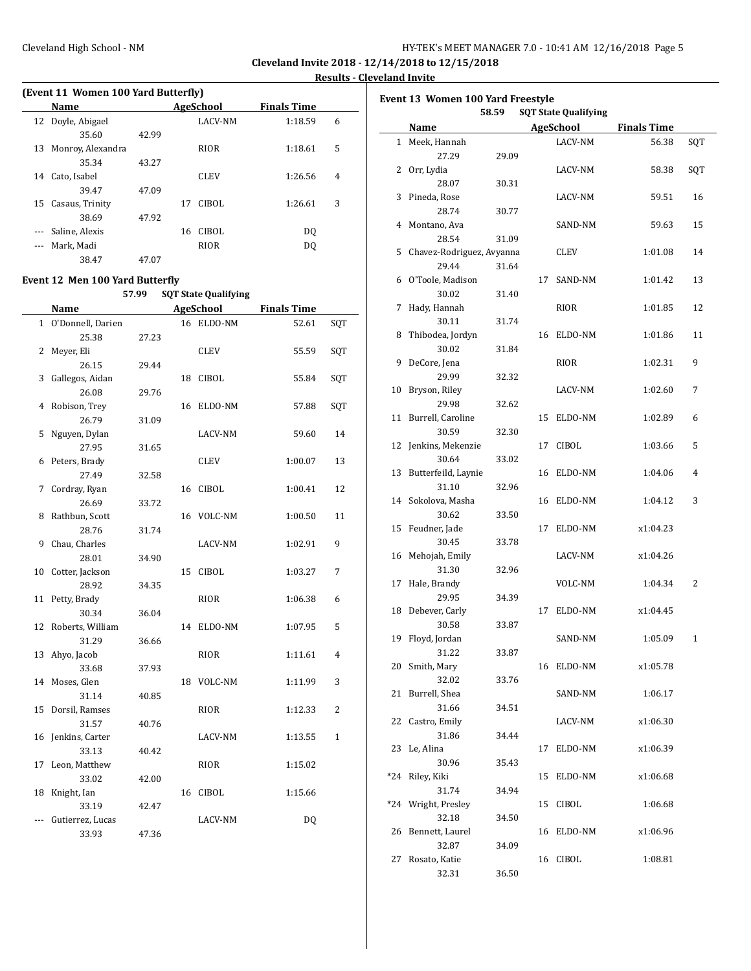| HY-TEK's MEET MANAGER 7.0 - 10:41 AM 12/16/2018 Page 5 |  |  |  |
|--------------------------------------------------------|--|--|--|
|--------------------------------------------------------|--|--|--|

|       | (Event 11 Women 100 Yard Butterfly) |       |    |                  |                    |   |  |  |  |  |  |
|-------|-------------------------------------|-------|----|------------------|--------------------|---|--|--|--|--|--|
|       | Name                                |       |    | <b>AgeSchool</b> | <b>Finals Time</b> |   |  |  |  |  |  |
|       | 12 Doyle, Abigael                   |       |    | <b>LACV-NM</b>   | 1:18.59            | 6 |  |  |  |  |  |
|       | 35.60                               | 42.99 |    |                  |                    |   |  |  |  |  |  |
| 13    | Monroy, Alexandra                   |       |    | RIOR             | 1:18.61            | 5 |  |  |  |  |  |
|       | 35.34                               | 43.27 |    |                  |                    |   |  |  |  |  |  |
| 14    | Cato, Isabel                        |       |    | <b>CLEV</b>      | 1:26.56            | 4 |  |  |  |  |  |
|       | 39.47                               | 47.09 |    |                  |                    |   |  |  |  |  |  |
| 15    | Casaus, Trinity                     |       | 17 | CIBOL            | 1:26.61            | 3 |  |  |  |  |  |
|       | 38.69                               | 47.92 |    |                  |                    |   |  |  |  |  |  |
|       | Saline, Alexis                      |       | 16 | CIBOL            | DO.                |   |  |  |  |  |  |
| $---$ | Mark, Madi                          |       |    | RIOR             | DO.                |   |  |  |  |  |  |
|       | 38.47                               | 47.07 |    |                  |                    |   |  |  |  |  |  |

## **Event 12 Men 100 Yard Butterfly**

**57.99 SQT State Qualifying**

|    | <b>Name</b>         |       |    | <b>AgeSchool</b> | <b>Finals Time</b> |                |
|----|---------------------|-------|----|------------------|--------------------|----------------|
|    | 1 O'Donnell, Darien |       |    | 16 ELDO-NM       | 52.61              | SQT            |
|    | 25.38               | 27.23 |    |                  |                    |                |
| 2  | Meyer, Eli          |       |    | <b>CLEV</b>      | 55.59              | SQT            |
|    | 26.15               | 29.44 |    |                  |                    |                |
| 3  | Gallegos, Aidan     |       | 18 | <b>CIBOL</b>     | 55.84              | SQT            |
|    | 26.08               | 29.76 |    |                  |                    |                |
| 4  | Robison, Trey       |       | 16 | ELDO-NM          | 57.88              | SQT            |
|    | 26.79               | 31.09 |    |                  |                    |                |
| 5  | Nguyen, Dylan       |       |    | LACV-NM          | 59.60              | 14             |
|    | 27.95               | 31.65 |    |                  |                    |                |
| 6  | Peters, Brady       |       |    | CLEV             | 1:00.07            | 13             |
|    | 27.49               | 32.58 |    |                  |                    |                |
| 7  | Cordray, Ryan       |       | 16 | <b>CIBOL</b>     | 1:00.41            | 12             |
|    | 26.69               | 33.72 |    |                  |                    |                |
| 8  | Rathbun, Scott      |       | 16 | VOLC-NM          | 1:00.50            | 11             |
|    | 28.76               | 31.74 |    |                  |                    |                |
| 9  | Chau, Charles       |       |    | LACV-NM          | 1:02.91            | 9              |
|    | 28.01               | 34.90 |    |                  |                    |                |
| 10 | Cotter, Jackson     |       | 15 | <b>CIBOL</b>     | 1:03.27            | 7              |
|    | 28.92               | 34.35 |    |                  |                    |                |
|    | 11 Petty, Brady     |       |    | RIOR             | 1:06.38            | 6              |
|    | 30.34               | 36.04 |    |                  |                    |                |
| 12 | Roberts, William    |       | 14 | ELDO-NM          | 1:07.95            | 5              |
|    | 31.29               | 36.66 |    |                  |                    |                |
| 13 | Ahyo, Jacob         |       |    | RIOR             | 1:11.61            | 4              |
|    | 33.68               | 37.93 |    |                  |                    |                |
|    | 14 Moses, Glen      |       | 18 | VOLC-NM          | 1:11.99            | 3              |
|    | 31.14               | 40.85 |    |                  |                    |                |
| 15 | Dorsil, Ramses      |       |    | RIOR             | 1:12.33            | $\overline{2}$ |
|    | 31.57               | 40.76 |    |                  |                    |                |
|    | 16 Jenkins, Carter  |       |    | LACV-NM          | 1:13.55            | $\mathbf{1}$   |
|    | 33.13               | 40.42 |    |                  |                    |                |
| 17 | Leon, Matthew       |       |    | RIOR             | 1:15.02            |                |
|    | 33.02               | 42.00 |    |                  |                    |                |
| 18 | Knight, Ian         |       | 16 | CIBOL            | 1:15.66            |                |
|    | 33.19               | 42.47 |    |                  |                    |                |
|    | Gutierrez, Lucas    |       |    | LACV-NM          | DQ                 |                |
|    | 33.93               | 47.36 |    |                  |                    |                |

|     |                           | 58.59 |    | <b>SQT State Qualifying</b> |                    |     |
|-----|---------------------------|-------|----|-----------------------------|--------------------|-----|
|     | Name                      |       |    | <b>AgeSchool</b>            | <b>Finals Time</b> |     |
|     | 1 Meek, Hannah            |       |    | LACV-NM                     | 56.38              | SQT |
|     | 27.29                     | 29.09 |    |                             |                    |     |
|     | 2 Orr, Lydia              |       |    | LACV-NM                     | 58.38              | SQT |
|     | 28.07                     | 30.31 |    |                             |                    |     |
| 3   | Pineda, Rose              |       |    | LACV-NM                     | 59.51              | 16  |
|     | 28.74                     | 30.77 |    |                             |                    |     |
| 4   | Montano, Ava              |       |    | SAND-NM                     | 59.63              | 15  |
|     | 28.54                     | 31.09 |    |                             |                    |     |
| 5   | Chavez-Rodriguez, Avyanna |       |    | CLEV                        | 1:01.08            | 14  |
|     | 29.44                     | 31.64 |    |                             |                    |     |
|     | 6 O'Toole, Madison        |       | 17 | SAND-NM                     | 1:01.42            | 13  |
|     | 30.02                     | 31.40 |    |                             |                    |     |
| 7   | Hady, Hannah              |       |    | RIOR                        | 1:01.85            | 12  |
|     | 30.11                     | 31.74 |    |                             |                    |     |
| 8   | Thibodea, Jordyn          |       | 16 | ELDO-NM                     | 1:01.86            | 11  |
|     | 30.02                     | 31.84 |    |                             |                    |     |
| 9   | DeCore, Jena              |       |    | RIOR                        | 1:02.31            | 9   |
|     | 29.99                     | 32.32 |    |                             |                    |     |
| 10  | Bryson, Riley             |       |    | LACV-NM                     | 1:02.60            | 7   |
|     | 29.98                     | 32.62 |    |                             |                    |     |
| 11  | Burrell, Caroline         |       | 15 | ELDO-NM                     | 1:02.89            | 6   |
|     | 30.59                     | 32.30 |    |                             |                    |     |
|     | 12 Jenkins, Mekenzie      |       | 17 | <b>CIBOL</b>                | 1:03.66            | 5   |
|     | 30.64                     | 33.02 |    |                             |                    |     |
| 13  | Butterfeild, Laynie       |       | 16 | ELDO-NM                     | 1:04.06            | 4   |
|     | 31.10                     | 32.96 |    |                             |                    |     |
|     | 14 Sokolova, Masha        |       | 16 | ELDO-NM                     | 1:04.12            | 3   |
|     | 30.62                     | 33.50 |    |                             |                    |     |
| 15  | Feudner, Jade             |       | 17 | ELDO-NM                     | x1:04.23           |     |
|     | 30.45                     | 33.78 |    |                             |                    |     |
|     | 16 Mehojah, Emily         |       |    | LACV-NM                     | x1:04.26           |     |
|     | 31.30                     | 32.96 |    |                             |                    |     |
| 17  | Hale, Brandy              |       |    | VOLC-NM                     | 1:04.34            | 2   |
|     | 29.95                     | 34.39 |    |                             |                    |     |
| 18  | Debever, Carly            |       | 17 | ELDO-NM                     | x1:04.45           |     |
|     | 30.58                     | 33.87 |    |                             |                    |     |
| 19  | Floyd, Jordan             |       |    | SAND-NM                     | 1:05.09            | 1   |
|     | 31.22                     | 33.87 |    |                             |                    |     |
|     | 20 Smith, Mary            |       |    | 16 ELDO-NM                  | x1:05.78           |     |
|     | 32.02                     | 33.76 |    |                             |                    |     |
| 21  | Burrell, Shea             |       |    | SAND-NM                     | 1:06.17            |     |
|     | 31.66                     | 34.51 |    |                             |                    |     |
| 22  | Castro, Emily             |       |    | LACV-NM                     | x1:06.30           |     |
|     | 31.86                     | 34.44 |    |                             |                    |     |
| 23  | Le, Alina                 |       | 17 | ELDO-NM                     | x1:06.39           |     |
|     | 30.96                     | 35.43 |    |                             |                    |     |
| *24 | Riley, Kiki               |       | 15 | ELDO-NM                     | x1:06.68           |     |
|     | 31.74                     | 34.94 |    |                             |                    |     |
| *24 | Wright, Presley           |       | 15 | CIBOL                       | 1:06.68            |     |
|     | 32.18                     | 34.50 |    |                             |                    |     |
| 26  | Bennett, Laurel           |       |    | 16 ELDO-NM                  | x1:06.96           |     |
|     | 32.87                     | 34.09 |    |                             |                    |     |
| 27  | Rosato, Katie             |       |    | 16 CIBOL                    | 1:08.81            |     |
|     | 32.31                     | 36.50 |    |                             |                    |     |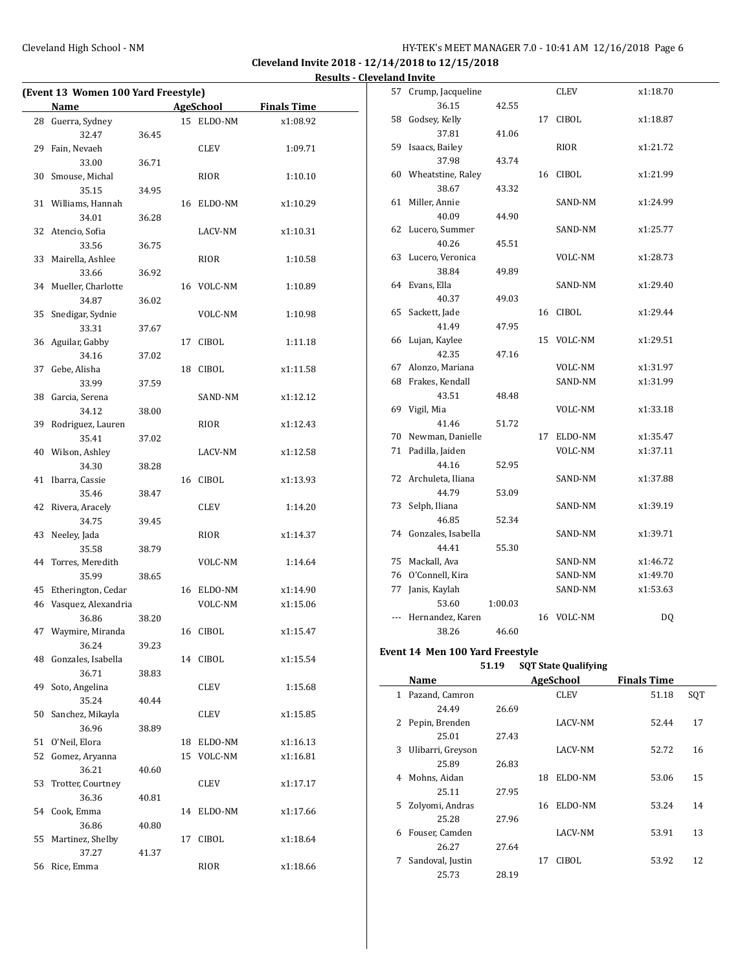l.

## Cleveland High School - NM **HY-TEK's MEET MANAGER 7.0 - 10:41 AM 12/16/2018** Page 6

**Cleveland Invite 2018 - 12/14/2018 to 12/15/2018 Results - Cleveland Invite**

| (Event 13 Women 100 Yard Freestyle) |                     |       |    |              |                    |  |  |  |
|-------------------------------------|---------------------|-------|----|--------------|--------------------|--|--|--|
|                                     | <b>Name</b>         |       |    | AgeSchool    | <b>Finals Time</b> |  |  |  |
| 28                                  | Guerra, Sydney      |       |    | 15 ELDO-NM   | x1:08.92           |  |  |  |
|                                     | 32.47               | 36.45 |    |              |                    |  |  |  |
| 29                                  | Fain, Nevaeh        |       |    | CLEV         | 1:09.71            |  |  |  |
|                                     | 33.00               | 36.71 |    |              |                    |  |  |  |
| 30                                  | Smouse, Michal      |       |    | RIOR         | 1:10.10            |  |  |  |
|                                     | 35.15               | 34.95 |    |              |                    |  |  |  |
| 31                                  | Williams, Hannah    |       | 16 | ELDO-NM      | x1:10.29           |  |  |  |
|                                     | 34.01               | 36.28 |    |              |                    |  |  |  |
| 32                                  | Atencio, Sofia      |       |    | LACV-NM      | x1:10.31           |  |  |  |
|                                     | 33.56               | 36.75 |    |              |                    |  |  |  |
| 33                                  | Mairella, Ashlee    |       |    | RIOR         | 1:10.58            |  |  |  |
|                                     | 33.66               | 36.92 |    |              |                    |  |  |  |
| 34                                  | Mueller, Charlotte  |       |    | 16 VOLC-NM   | 1:10.89            |  |  |  |
|                                     | 34.87               | 36.02 |    |              |                    |  |  |  |
| 35                                  | Snedigar, Sydnie    |       |    | VOLC-NM      | 1:10.98            |  |  |  |
|                                     | 33.31               | 37.67 |    |              |                    |  |  |  |
| 36                                  | Aguilar, Gabby      |       | 17 | CIBOL        | 1:11.18            |  |  |  |
|                                     | 34.16               | 37.02 |    |              |                    |  |  |  |
| 37                                  | Gebe, Alisha        |       | 18 | CIBOL        | x1:11.58           |  |  |  |
|                                     | 33.99               | 37.59 |    |              |                    |  |  |  |
| 38                                  | Garcia, Serena      |       |    | SAND-NM      | x1:12.12           |  |  |  |
|                                     | 34.12               | 38.00 |    |              |                    |  |  |  |
| 39                                  | Rodriguez, Lauren   |       |    | RIOR         | x1:12.43           |  |  |  |
|                                     | 35.41               | 37.02 |    |              |                    |  |  |  |
| 40                                  | Wilson, Ashley      |       |    | LACV-NM      | x1:12.58           |  |  |  |
|                                     | 34.30               | 38.28 |    |              |                    |  |  |  |
| 41                                  | Ibarra, Cassie      |       | 16 | <b>CIBOL</b> | x1:13.93           |  |  |  |
|                                     | 35.46               | 38.47 |    |              |                    |  |  |  |
| 42                                  | Rivera, Aracely     |       |    | CLEV         | 1:14.20            |  |  |  |
|                                     | 34.75               | 39.45 |    |              |                    |  |  |  |
| 43                                  | Neeley, Jada        |       |    | RIOR         | x1:14.37           |  |  |  |
|                                     | 35.58               | 38.79 |    |              |                    |  |  |  |
| 44                                  | Torres, Meredith    |       |    | VOLC-NM      | 1:14.64            |  |  |  |
|                                     | 35.99               | 38.65 |    |              |                    |  |  |  |
| 45                                  | Etherington, Cedar  |       |    | 16 ELDO-NM   | x1:14.90           |  |  |  |
| 46                                  | Vasquez, Alexandria |       |    | VOLC-NM      | x1:15.06           |  |  |  |
|                                     | 36.86               | 38.20 |    |              |                    |  |  |  |
| 47                                  | Waymire, Miranda    |       | 16 | CIBOL        | x1:15.47           |  |  |  |
|                                     | 36.24               | 39.23 |    |              |                    |  |  |  |
| 48                                  | Gonzales, Isabella  |       |    | 14 CIBOL     | x1:15.54           |  |  |  |
|                                     | 36.71               | 38.83 |    |              |                    |  |  |  |
| 49                                  | Soto, Angelina      |       |    | CLEV         | 1:15.68            |  |  |  |
|                                     | 35.24               | 40.44 |    |              |                    |  |  |  |
| 50                                  | Sanchez, Mikayla    |       |    | CLEV         | x1:15.85           |  |  |  |
|                                     | 36.96               | 38.89 |    |              |                    |  |  |  |
| 51                                  | O'Neil, Elora       |       |    | 18 ELDO-NM   | x1:16.13           |  |  |  |
| 52                                  | Gomez, Aryanna      |       | 15 | VOLC-NM      | x1:16.81           |  |  |  |
|                                     | 36.21               | 40.60 |    |              |                    |  |  |  |
| 53                                  | Trotter, Courtney   |       |    | CLEV         | x1:17.17           |  |  |  |
|                                     | 36.36               | 40.81 |    |              |                    |  |  |  |
|                                     | 54 Cook, Emma       |       | 14 | ELDO-NM      | x1:17.66           |  |  |  |
|                                     | 36.86               | 40.80 |    |              |                    |  |  |  |
| 55                                  | Martinez, Shelby    |       | 17 | <b>CIBOL</b> | x1:18.64           |  |  |  |
|                                     | 37.27               | 41.37 |    |              |                    |  |  |  |
| 56                                  | Rice, Emma          |       |    | RIOR         | x1:18.66           |  |  |  |

|    | 57 Crump, Jacqueline          |         |    | CLEV               | x1:18.70             |  |
|----|-------------------------------|---------|----|--------------------|----------------------|--|
|    | 36.15                         | 42.55   |    |                    |                      |  |
| 58 | Godsey, Kelly                 |         | 17 | <b>CIBOL</b>       | x1:18.87             |  |
|    | 37.81                         | 41.06   |    |                    |                      |  |
| 59 | Isaacs, Bailey                |         |    | RIOR               | x1:21.72             |  |
|    | 37.98                         | 43.74   |    |                    |                      |  |
| 60 | Wheatstine, Raley             |         |    | 16 CIBOL           | x1:21.99             |  |
|    | 38.67                         | 43.32   |    |                    |                      |  |
| 61 | Miller, Annie                 |         |    | SAND-NM            | x1:24.99             |  |
|    | 40.09                         | 44.90   |    |                    |                      |  |
|    | 62 Lucero, Summer             |         |    | SAND-NM            | x1:25.77             |  |
|    | 40.26                         | 45.51   |    |                    |                      |  |
| 63 | Lucero, Veronica              |         |    | VOLC-NM            | x1:28.73             |  |
|    | 38.84                         | 49.89   |    |                    |                      |  |
|    | 64 Evans, Ella                |         |    | SAND-NM            | x1:29.40             |  |
|    | 40.37                         | 49.03   |    |                    |                      |  |
| 65 | Sackett, Jade                 |         |    | 16 CIBOL           | x1:29.44             |  |
|    | 41.49                         | 47.95   |    |                    |                      |  |
| 66 | Lujan, Kaylee                 |         | 15 | VOLC-NM            | x1:29.51             |  |
|    | 42.35                         | 47.16   |    |                    |                      |  |
| 67 | Alonzo, Mariana               |         |    | VOLC-NM            | x1:31.97             |  |
|    | 68 Frakes, Kendall            |         |    | SAND-NM            | x1:31.99             |  |
|    | 43.51                         | 48.48   |    |                    |                      |  |
|    | 69 Vigil, Mia                 |         |    | VOLC-NM            | x1:33.18             |  |
|    | 41.46                         | 51.72   |    |                    |                      |  |
|    | 70 Newman, Danielle           |         | 17 | ELDO-NM            | x1:35.47             |  |
|    | 71 Padilla, Jaiden            |         |    | VOLC-NM            | x1:37.11             |  |
|    | 44.16                         | 52.95   |    |                    |                      |  |
| 72 | Archuleta, Iliana             |         |    | SAND-NM            | x1:37.88             |  |
|    | 44.79                         | 53.09   |    |                    |                      |  |
| 73 | Selph, Iliana                 |         |    | SAND-NM            | x1:39.19             |  |
|    | 46.85                         | 52.34   |    |                    |                      |  |
|    | 74 Gonzales, Isabella         |         |    | SAND-NM            | x1:39.71             |  |
|    | 44.41                         | 55.30   |    |                    |                      |  |
|    | 75 Mackall, Ava               |         |    | SAND-NM            | x1:46.72             |  |
|    | 76 O'Connell, Kira            |         |    | SAND-NM<br>SAND-NM | x1:49.70<br>x1:53.63 |  |
| 77 | Janis, Kaylah                 |         |    |                    |                      |  |
|    | 53.60<br>--- Hernandez, Karen | 1:00.03 |    | 16 VOLC-NM         |                      |  |
|    | 38.26                         | 46.60   |    |                    | DQ                   |  |
|    |                               |         |    |                    |                      |  |
|    |                               |         |    |                    |                      |  |

# **Event 14 Men 100 Yard Freestyle**

# **51.19 SQT State Qualifying**

|   | Name              |       |     | AgeSchool      | <b>Finals Time</b> |     |
|---|-------------------|-------|-----|----------------|--------------------|-----|
| 1 | Pazand, Camron    |       |     | <b>CLEV</b>    | 51.18              | SQT |
|   | 24.49             | 26.69 |     |                |                    |     |
|   | 2 Pepin, Brenden  |       |     | LACV-NM        | 52.44              | 17  |
|   | 25.01             | 27.43 |     |                |                    |     |
| 3 | Ulibarri, Greyson |       |     | LACV-NM        | 52.72              | 16  |
|   | 25.89             | 26.83 |     |                |                    |     |
| 4 | Mohns, Aidan      |       | 18  | ELDO-NM        | 53.06              | 15  |
|   | 25.11             | 27.95 |     |                |                    |     |
|   | 5 Zolyomi, Andras |       | 16. | ELDO-NM        | 53.24              | 14  |
|   | 25.28             | 27.96 |     |                |                    |     |
| 6 | Fouser, Camden    |       |     | <b>LACV-NM</b> | 53.91              | 13  |
|   | 26.27             | 27.64 |     |                |                    |     |
| 7 | Sandoval, Justin  |       | 17  | CIBOL          | 53.92              | 12  |
|   | 25.73             | 28.19 |     |                |                    |     |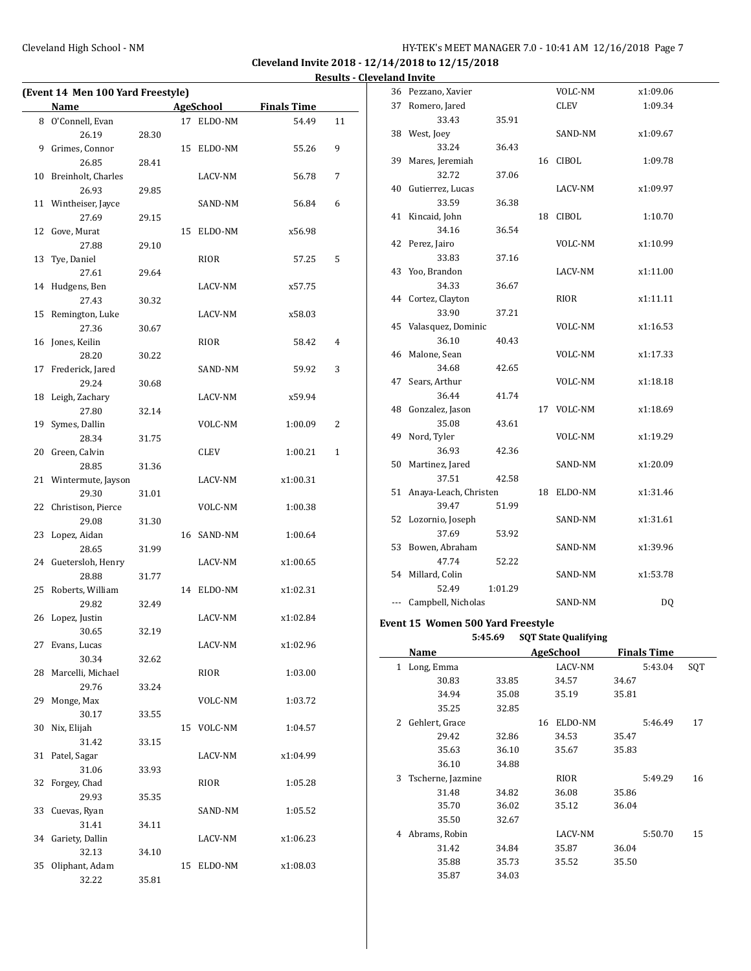$\overline{a}$ 

## Cleveland High School - NM HY-TEK's MEET MANAGER 7.0 - 10:41 AM 12/16/2018 Page 7

**Cleveland Invite 2018 - 12/14/2018 to 12/15/2018 Results - Cleveland Invite**

| (Event 14 Men 100 Yard Freestyle) |                       |       |    |            |                    |    |  |  |
|-----------------------------------|-----------------------|-------|----|------------|--------------------|----|--|--|
|                                   | Name                  |       |    | AgeSchool  | <b>Finals Time</b> |    |  |  |
|                                   | 8 O'Connell, Evan     |       |    | 17 ELDO-NM | 54.49              | 11 |  |  |
|                                   | 26.19                 | 28.30 |    |            |                    |    |  |  |
| 9                                 | Grimes, Connor        |       | 15 | ELDO-NM    | 55.26              | 9  |  |  |
|                                   | 26.85                 | 28.41 |    |            |                    |    |  |  |
| 10                                | Breinholt, Charles    |       |    | LACV-NM    | 56.78              | 7  |  |  |
|                                   | 26.93                 | 29.85 |    |            |                    |    |  |  |
|                                   | 11 Wintheiser, Jayce  |       |    | SAND-NM    | 56.84              | 6  |  |  |
|                                   | 27.69                 | 29.15 |    |            |                    |    |  |  |
| 12                                | Gove, Murat           |       | 15 | ELDO-NM    | x56.98             |    |  |  |
|                                   | 27.88                 | 29.10 |    |            |                    |    |  |  |
| 13                                | Tye, Daniel           |       |    | RIOR       | 57.25              | 5  |  |  |
|                                   | 27.61                 | 29.64 |    |            |                    |    |  |  |
| 14                                | Hudgens, Ben          |       |    | LACV-NM    | x57.75             |    |  |  |
|                                   | 27.43                 | 30.32 |    |            |                    |    |  |  |
| 15                                | Remington, Luke       |       |    | LACV-NM    | x58.03             |    |  |  |
|                                   | 27.36                 | 30.67 |    |            |                    |    |  |  |
|                                   | 16 Jones, Keilin      |       |    | RIOR       | 58.42              | 4  |  |  |
|                                   | 28.20                 | 30.22 |    |            |                    |    |  |  |
| 17                                | Frederick, Jared      |       |    | SAND-NM    | 59.92              | 3  |  |  |
|                                   | 29.24                 | 30.68 |    |            |                    |    |  |  |
|                                   | 18 Leigh, Zachary     |       |    | LACV-NM    | x59.94             |    |  |  |
|                                   | 27.80                 | 32.14 |    |            |                    |    |  |  |
| 19                                | Symes, Dallin         |       |    | VOLC-NM    | 1:00.09            | 2  |  |  |
|                                   | 28.34                 | 31.75 |    |            |                    |    |  |  |
|                                   | 20 Green, Calvin      |       |    | CLEV       | 1:00.21            | 1  |  |  |
|                                   | 28.85                 | 31.36 |    |            |                    |    |  |  |
|                                   | 21 Wintermute, Jayson |       |    | LACV-NM    | x1:00.31           |    |  |  |
|                                   | 29.30                 | 31.01 |    |            |                    |    |  |  |
| 22                                | Christison, Pierce    |       |    | VOLC-NM    | 1:00.38            |    |  |  |
|                                   | 29.08                 | 31.30 |    |            |                    |    |  |  |
|                                   | 23 Lopez, Aidan       |       |    | 16 SAND-NM | 1:00.64            |    |  |  |
|                                   | 28.65                 | 31.99 |    |            |                    |    |  |  |
|                                   | 24 Guetersloh, Henry  |       |    | LACV-NM    | x1:00.65           |    |  |  |
|                                   | 28.88                 | 31.77 |    |            |                    |    |  |  |
| 25                                | Roberts, William      |       |    | 14 ELDO-NM | x1:02.31           |    |  |  |
|                                   | 29.82                 | 32.49 |    |            |                    |    |  |  |
|                                   | 26 Lopez, Justin      |       |    | LACV-NM    | x1:02.84           |    |  |  |
|                                   | 30.65                 | 32.19 |    |            |                    |    |  |  |
|                                   | 27 Evans, Lucas       |       |    | LACV-NM    | x1:02.96           |    |  |  |
|                                   | 30.34                 | 32.62 |    |            |                    |    |  |  |
| 28                                | Marcelli, Michael     |       |    | RIOR       | 1:03.00            |    |  |  |
|                                   | 29.76                 | 33.24 |    |            |                    |    |  |  |
| 29                                | Monge, Max            |       |    | VOLC-NM    | 1:03.72            |    |  |  |
|                                   | 30.17                 | 33.55 |    |            |                    |    |  |  |
| 30                                | Nix, Elijah           |       | 15 | VOLC-NM    | 1:04.57            |    |  |  |
|                                   | 31.42                 | 33.15 |    |            |                    |    |  |  |
| 31                                | Patel, Sagar          |       |    | LACV-NM    | x1:04.99           |    |  |  |
|                                   | 31.06                 | 33.93 |    |            |                    |    |  |  |
| 32                                | Forgey, Chad          |       |    | RIOR       | 1:05.28            |    |  |  |
|                                   | 29.93                 | 35.35 |    |            |                    |    |  |  |
| 33                                | Cuevas, Ryan          |       |    | SAND-NM    | 1:05.52            |    |  |  |
|                                   | 31.41                 | 34.11 |    |            |                    |    |  |  |
| 34                                | Gariety, Dallin       |       |    | LACV-NM    | x1:06.23           |    |  |  |
|                                   | 32.13                 | 34.10 |    |            |                    |    |  |  |
| 35                                | Oliphant, Adam        |       | 15 | ELDO-NM    | x1:08.03           |    |  |  |
|                                   | 32.22                 | 35.81 |    |            |                    |    |  |  |

|    | 1 Long Emma                       |         |    | LACV-NM                     | 5:43.04            | SOT |
|----|-----------------------------------|---------|----|-----------------------------|--------------------|-----|
|    | Name                              |         |    | AgeSchool                   | <b>Finals Time</b> |     |
|    |                                   | 5:45.69 |    | <b>SQT State Qualifying</b> |                    |     |
|    | Event 15 Women 500 Yard Freestyle |         |    |                             |                    |     |
|    | Campbell, Nicholas                |         |    | SAND-NM                     | DQ                 |     |
|    | 52.49                             | 1:01.29 |    |                             |                    |     |
|    |                                   |         |    | SAND-NM                     | x1:53.78           |     |
|    | 47.74<br>54 Millard, Colin        | 52.22   |    |                             |                    |     |
| 53 | Bowen, Abraham                    |         |    | SAND-NM                     | x1:39.96           |     |
|    | 37.69                             | 53.92   |    |                             |                    |     |
| 52 | Lozornio, Joseph                  |         |    | SAND-NM                     | x1:31.61           |     |
|    | 39.47                             | 51.99   |    |                             |                    |     |
| 51 | Anaya-Leach, Christen             |         | 18 | ELDO-NM                     | x1:31.46           |     |
|    | 37.51                             | 42.58   |    |                             |                    |     |
| 50 | Martinez, Jared                   |         |    | SAND-NM                     | x1:20.09           |     |
|    | 36.93                             | 42.36   |    |                             |                    |     |
| 49 | Nord, Tyler                       |         |    | VOLC-NM                     | x1:19.29           |     |
|    | 35.08                             | 43.61   |    |                             |                    |     |
| 48 | Gonzalez, Jason                   |         |    | 17 VOLC-NM                  | x1:18.69           |     |
|    | 36.44                             | 41.74   |    |                             |                    |     |
| 47 | Sears, Arthur                     |         |    | VOLC-NM                     | x1:18.18           |     |
|    | 34.68                             | 42.65   |    |                             |                    |     |
| 46 | Malone, Sean                      |         |    | VOLC-NM                     | x1:17.33           |     |
|    | 36.10                             | 40.43   |    |                             |                    |     |
| 45 | Valasquez, Dominic                |         |    | VOLC-NM                     | x1:16.53           |     |
|    | 33.90                             | 37.21   |    |                             |                    |     |
|    | 44 Cortez, Clayton                |         |    | RIOR                        | x1:11.11           |     |
|    | 34.33                             | 36.67   |    |                             |                    |     |
| 43 | Yoo, Brandon                      |         |    | LACV-NM                     | x1:11.00           |     |
|    | 33.83                             | 37.16   |    |                             |                    |     |
| 42 | Perez, Jairo                      |         |    | VOLC-NM                     | x1:10.99           |     |
|    | 34.16                             | 36.54   |    |                             |                    |     |
| 41 | Kincaid, John                     |         |    | 18 CIBOL                    | 1:10.70            |     |
|    | 33.59                             | 36.38   |    |                             |                    |     |
| 40 | Gutierrez, Lucas                  |         |    | LACV-NM                     | x1:09.97           |     |
|    | 32.72                             | 37.06   |    |                             |                    |     |
| 39 | Mares, Jeremiah                   |         |    | 16 CIBOL                    | 1:09.78            |     |
|    | 33.24                             | 36.43   |    |                             |                    |     |
| 38 | West, Joey                        |         |    | SAND-NM                     | x1:09.67           |     |
| 37 | Romero, Jared<br>33.43            | 35.91   |    | CLEV                        | 1:09.34            |     |
|    | 36 Pezzano, Xavier                |         |    | VOLC-NM                     | x1:09.06           |     |
|    |                                   |         |    |                             |                    |     |

|   | .                 |       |    | 14800   |       | , ,,,,,,, , ,,,,, |     |
|---|-------------------|-------|----|---------|-------|-------------------|-----|
| 1 | Long, Emma        |       |    | LACV-NM |       | 5:43.04           | SQT |
|   | 30.83             | 33.85 |    | 34.57   | 34.67 |                   |     |
|   | 34.94             | 35.08 |    | 35.19   | 35.81 |                   |     |
|   | 35.25             | 32.85 |    |         |       |                   |     |
| 2 | Gehlert, Grace    |       | 16 | ELDO-NM |       | 5:46.49           | 17  |
|   | 29.42             | 32.86 |    | 34.53   | 35.47 |                   |     |
|   | 35.63             | 36.10 |    | 35.67   | 35.83 |                   |     |
|   | 36.10             | 34.88 |    |         |       |                   |     |
| 3 | Tscherne, Jazmine |       |    | RIOR    |       | 5:49.29           | 16  |
|   | 31.48             | 34.82 |    | 36.08   | 35.86 |                   |     |
|   | 35.70             | 36.02 |    | 35.12   | 36.04 |                   |     |
|   | 35.50             | 32.67 |    |         |       |                   |     |
| 4 | Abrams, Robin     |       |    | LACV-NM |       | 5:50.70           | 15  |
|   | 31.42             | 34.84 |    | 35.87   | 36.04 |                   |     |
|   | 35.88             | 35.73 |    | 35.52   | 35.50 |                   |     |
|   | 35.87             | 34.03 |    |         |       |                   |     |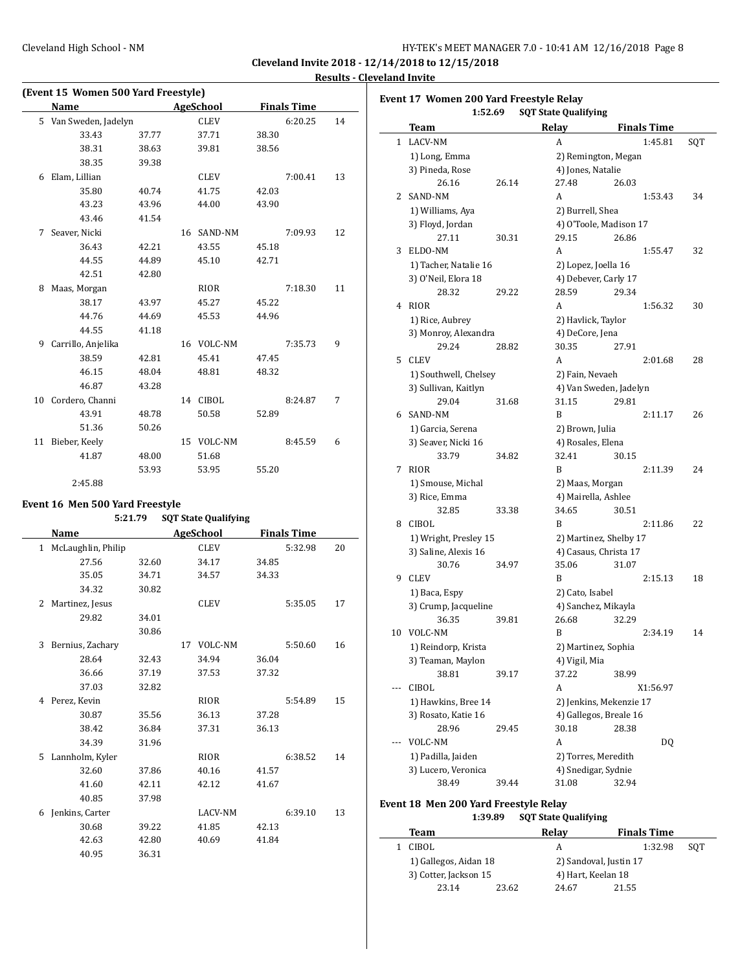$\overline{\phantom{a}}$ 

|    | (Event 15 Women 500 Yard Freestyle) |       |  |             |       |                    |    |  |  |  |
|----|-------------------------------------|-------|--|-------------|-------|--------------------|----|--|--|--|
|    | Name                                |       |  | AgeSchool   |       | <b>Finals Time</b> |    |  |  |  |
|    | 5 Van Sweden, Jadelyn               |       |  | <b>CLEV</b> |       | 6:20.25            | 14 |  |  |  |
|    | 33.43                               | 37.77 |  | 37.71       | 38.30 |                    |    |  |  |  |
|    | 38.31                               | 38.63 |  | 39.81       | 38.56 |                    |    |  |  |  |
|    | 38.35                               | 39.38 |  |             |       |                    |    |  |  |  |
| 6  | Elam, Lillian                       |       |  | <b>CLEV</b> |       | 7:00.41            | 13 |  |  |  |
|    | 35.80                               | 40.74 |  | 41.75       | 42.03 |                    |    |  |  |  |
|    | 43.23                               | 43.96 |  | 44.00       | 43.90 |                    |    |  |  |  |
|    | 43.46                               | 41.54 |  |             |       |                    |    |  |  |  |
| 7  | Seaver, Nicki                       |       |  | 16 SAND-NM  |       | 7:09.93            | 12 |  |  |  |
|    | 36.43                               | 42.21 |  | 43.55       | 45.18 |                    |    |  |  |  |
|    | 44.55                               | 44.89 |  | 45.10       | 42.71 |                    |    |  |  |  |
|    | 42.51                               | 42.80 |  |             |       |                    |    |  |  |  |
| 8  | Maas, Morgan                        |       |  | <b>RIOR</b> |       | 7:18.30            | 11 |  |  |  |
|    | 38.17                               | 43.97 |  | 45.27       | 45.22 |                    |    |  |  |  |
|    | 44.76                               | 44.69 |  | 45.53       | 44.96 |                    |    |  |  |  |
|    | 44.55                               | 41.18 |  |             |       |                    |    |  |  |  |
| 9  | Carrillo, Anjelika                  |       |  | 16 VOLC-NM  |       | 7:35.73            | 9  |  |  |  |
|    | 38.59                               | 42.81 |  | 45.41       | 47.45 |                    |    |  |  |  |
|    | 46.15                               | 48.04 |  | 48.81       | 48.32 |                    |    |  |  |  |
|    | 46.87                               | 43.28 |  |             |       |                    |    |  |  |  |
| 10 | Cordero, Channi                     |       |  | 14 CIBOL    |       | 8:24.87            | 7  |  |  |  |
|    | 43.91                               | 48.78 |  | 50.58       | 52.89 |                    |    |  |  |  |
|    | 51.36                               | 50.26 |  |             |       |                    |    |  |  |  |
| 11 | Bieber, Keely                       |       |  | 15 VOLC-NM  |       | 8:45.59            | 6  |  |  |  |
|    | 41.87                               | 48.00 |  | 51.68       |       |                    |    |  |  |  |
|    |                                     | 53.93 |  | 53.95       | 55.20 |                    |    |  |  |  |
|    | 2:45.88                             |       |  |             |       |                    |    |  |  |  |

#### **Event 16 Men 500 Yard Freestyle**

#### **5:21.79 SQT State Qualifying**

|   | <b>Name</b>        |       |    | AgeSchool<br><b>Finals Time</b> |       |         |    |  |
|---|--------------------|-------|----|---------------------------------|-------|---------|----|--|
| 1 | McLaughlin, Philip |       |    | <b>CLEV</b>                     |       | 5:32.98 | 20 |  |
|   | 27.56              | 32.60 |    | 34.17                           | 34.85 |         |    |  |
|   | 35.05              | 34.71 |    | 34.57                           | 34.33 |         |    |  |
|   | 34.32              | 30.82 |    |                                 |       |         |    |  |
| 2 | Martinez, Jesus    |       |    | <b>CLEV</b>                     |       | 5:35.05 | 17 |  |
|   | 29.82              | 34.01 |    |                                 |       |         |    |  |
|   |                    | 30.86 |    |                                 |       |         |    |  |
| 3 | Bernius, Zachary   |       | 17 | VOLC-NM                         |       | 5:50.60 | 16 |  |
|   | 28.64              | 32.43 |    | 34.94                           | 36.04 |         |    |  |
|   | 36.66              | 37.19 |    | 37.53                           | 37.32 |         |    |  |
|   | 37.03              | 32.82 |    |                                 |       |         |    |  |
| 4 | Perez, Kevin       |       |    | <b>RIOR</b>                     |       | 5:54.89 | 15 |  |
|   | 30.87              | 35.56 |    | 36.13                           | 37.28 |         |    |  |
|   | 38.42              | 36.84 |    | 37.31                           | 36.13 |         |    |  |
|   | 34.39              | 31.96 |    |                                 |       |         |    |  |
| 5 | Lannholm, Kyler    |       |    | <b>RIOR</b>                     |       | 6:38.52 | 14 |  |
|   | 32.60              | 37.86 |    | 40.16                           | 41.57 |         |    |  |
|   | 41.60              | 42.11 |    | 42.12                           | 41.67 |         |    |  |
|   | 40.85              | 37.98 |    |                                 |       |         |    |  |
| 6 | Jenkins, Carter    |       |    | LACV-NM                         |       | 6:39.10 | 13 |  |
|   | 30.68              | 39.22 |    | 41.85                           | 42.13 |         |    |  |
|   | 42.63              | 42.80 |    | 40.69                           | 41.84 |         |    |  |
|   | 40.95              | 36.31 |    |                                 |       |         |    |  |

|     | Event 17 Women 200 Yard Freestyle Relay<br>1:52.69 |       | <b>SQT State Qualifying</b> |                         |                    |     |
|-----|----------------------------------------------------|-------|-----------------------------|-------------------------|--------------------|-----|
|     | Team                                               |       | Relav                       |                         | <b>Finals Time</b> |     |
| 1   | LACV-NM                                            |       | A                           |                         | 1:45.81            | SQT |
|     | 1) Long, Emma                                      |       |                             | 2) Remington, Megan     |                    |     |
|     | 3) Pineda, Rose                                    |       | 4) Jones, Natalie           |                         |                    |     |
|     | 26.16                                              | 26.14 | 27.48                       | 26.03                   |                    |     |
| 2   | SAND-NM                                            |       | A                           |                         | 1:53.43            | 34  |
|     | 1) Williams, Aya                                   |       | 2) Burrell, Shea            |                         |                    |     |
|     | 3) Floyd, Jordan                                   |       |                             | 4) O'Toole, Madison 17  |                    |     |
|     | 27.11                                              | 30.31 | 29.15                       | 26.86                   |                    |     |
| 3   | ELDO-NM                                            |       | A                           |                         | 1:55.47            | 32  |
|     | 1) Tacher, Natalie 16                              |       | 2) Lopez, Joella 16         |                         |                    |     |
|     | 3) O'Neil, Elora 18                                |       | 4) Debever, Carly 17        |                         |                    |     |
|     | 28.32                                              | 29.22 | 28.59                       | 29.34                   |                    |     |
| 4   | RIOR                                               |       | A                           |                         | 1:56.32            | 30  |
|     | 1) Rice, Aubrey                                    |       | 2) Havlick, Taylor          |                         |                    |     |
|     | 3) Monroy, Alexandra                               |       | 4) DeCore, Jena             |                         |                    |     |
|     | 29.24                                              | 28.82 | 30.35                       | 27.91                   |                    |     |
| 5   | <b>CLEV</b>                                        |       | A                           |                         | 2:01.68            | 28  |
|     | 1) Southwell, Chelsey                              |       | 2) Fain, Nevaeh             |                         |                    |     |
|     | 3) Sullivan, Kaitlyn                               |       |                             | 4) Van Sweden, Jadelyn  |                    |     |
|     | 29.04                                              | 31.68 | 31.15                       | 29.81                   |                    |     |
| 6   | SAND-NM                                            |       | B                           |                         | 2:11.17            | 26  |
|     | 1) Garcia, Serena                                  |       | 2) Brown, Julia             |                         |                    |     |
|     | 3) Seaver, Nicki 16                                |       | 4) Rosales, Elena           |                         |                    |     |
|     | 33.79                                              | 34.82 | 32.41                       | 30.15                   |                    |     |
| 7   | RIOR                                               |       | B                           |                         | 2:11.39            | 24  |
|     | 1) Smouse, Michal                                  |       | 2) Maas, Morgan             |                         |                    |     |
|     | 3) Rice, Emma                                      |       | 4) Mairella, Ashlee         |                         |                    |     |
|     | 32.85                                              | 33.38 | 34.65                       | 30.51                   |                    |     |
| 8   | CIBOL                                              |       | B                           |                         | 2:11.86            | 22  |
|     | 1) Wright, Presley 15                              |       |                             | 2) Martinez, Shelby 17  |                    |     |
|     | 3) Saline, Alexis 16                               |       |                             | 4) Casaus, Christa 17   |                    |     |
|     | 30.76                                              | 34.97 | 35.06                       | 31.07                   |                    |     |
| 9   | <b>CLEV</b>                                        |       | B                           |                         | 2:15.13            | 18  |
|     | 1) Baca, Espy                                      |       | 2) Cato, Isabel             |                         |                    |     |
|     | 3) Crump, Jacqueline                               |       | 4) Sanchez, Mikayla         |                         |                    |     |
|     | 36.35                                              | 39.81 | 26.68                       | 32.29                   |                    |     |
|     | 10 VOLC-NM                                         |       | B                           |                         | 2:34.19            | 14  |
|     | 1) Reindorp, Krista                                |       | 2) Martinez, Sophia         |                         |                    |     |
|     | 3) Teaman, Maylon                                  |       | 4) Vigil, Mia               |                         |                    |     |
|     | 38.81                                              | 39.17 | 37.22                       | 38.99                   |                    |     |
| --- | CIBOL                                              |       | A                           |                         | X1:56.97           |     |
|     | 1) Hawkins, Bree 14                                |       |                             | 2) Jenkins, Mekenzie 17 |                    |     |
|     | 3) Rosato, Katie 16                                |       |                             | 4) Gallegos, Breale 16  |                    |     |
|     | 28.96                                              | 29.45 | 30.18                       | 28.38                   |                    |     |
|     | VOLC-NM                                            |       | A                           |                         | DQ                 |     |
|     | 1) Padilla, Jaiden                                 |       | 2) Torres, Meredith         |                         |                    |     |
|     | 3) Lucero, Veronica                                |       | 4) Snedigar, Sydnie         |                         |                    |     |
|     | 38.49                                              | 39.44 | 31.08                       | 32.94                   |                    |     |

# **Event 18 Men 200 Yard Freestyle Relay**

 $\frac{1}{2}$ 

## **1:39.89 SQT State Qualifying**

| Team                  |       | Relav                  | <b>Finals Time</b> |     |  |  |
|-----------------------|-------|------------------------|--------------------|-----|--|--|
| <b>CIBOL</b>          |       | А                      | 1:32.98            | SOT |  |  |
| 1) Gallegos, Aidan 18 |       | 2) Sandoval, Justin 17 |                    |     |  |  |
| 3) Cotter, Jackson 15 |       | 4) Hart, Keelan 18     |                    |     |  |  |
| 23.14                 | 23.62 | 24.67                  | 21.55              |     |  |  |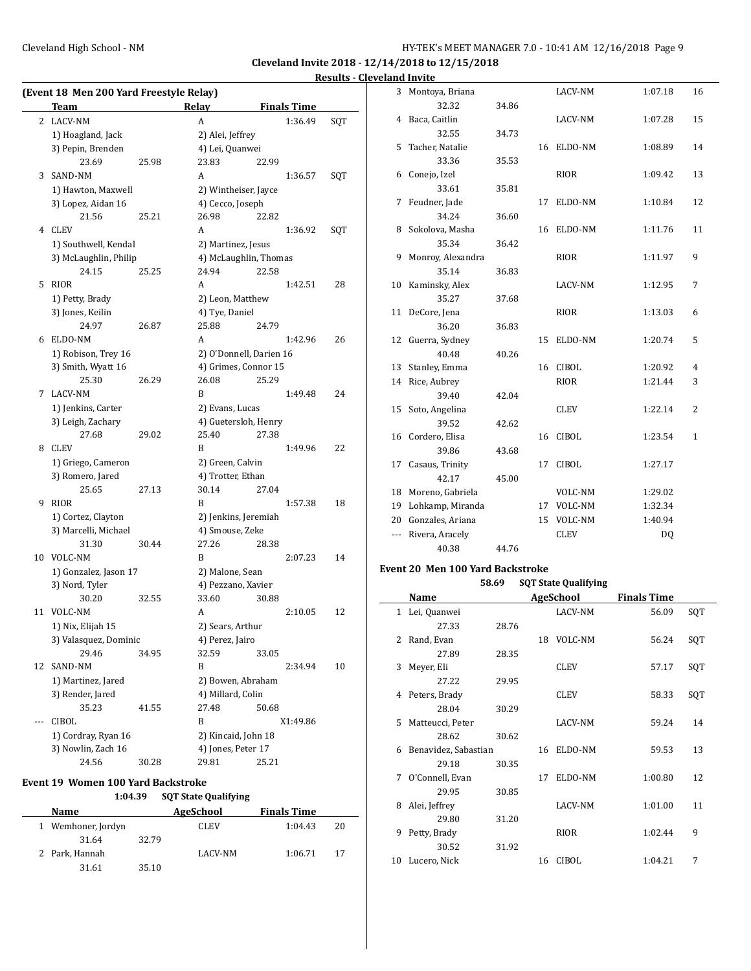**Cleveland Invite 2018 - 12/14/2018 to 12/15/2018 Results - Cleveland Invite**

| (Event 18 Men 200 Yard Freestyle Relay)   |       |                             |                         |     | 3 Montoya, Briana                       |       | LACV-NM                     | 1:07.18                | 16  |
|-------------------------------------------|-------|-----------------------------|-------------------------|-----|-----------------------------------------|-------|-----------------------------|------------------------|-----|
| <b>Team</b>                               |       | Relay                       | <b>Finals Time</b>      |     | 32.32                                   | 34.86 |                             |                        |     |
| 2 LACV-NM                                 |       | $\mathbf{A}$                | 1:36.49                 | SQT | 4 Baca, Caitlin                         |       | LACV-NM                     | 1:07.28                | 15  |
| 1) Hoagland, Jack                         |       | 2) Alei, Jeffrey            |                         |     | 32.55                                   | 34.73 |                             |                        |     |
| 3) Pepin, Brenden                         |       | 4) Lei, Quanwei             |                         |     | 5 Tacher, Natalie                       |       | 16 ELDO-NM                  | 1:08.89                | 14  |
| 23.69                                     | 25.98 | 23.83                       | 22.99                   |     | 33.36                                   | 35.53 |                             |                        |     |
| 3 SAND-NM                                 |       | A                           | 1:36.57                 | SQT | 6 Conejo, Izel                          |       | <b>RIOR</b>                 | 1:09.42                | 13  |
| 1) Hawton, Maxwell                        |       | 2) Wintheiser, Jayce        |                         |     | 33.61                                   | 35.81 |                             |                        |     |
| 3) Lopez, Aidan 16                        |       | 4) Cecco, Joseph            |                         |     | 7 Feudner, Jade                         |       | 17 ELDO-NM                  | 1:10.84                | 12  |
| 21.56                                     | 25.21 | 26.98                       | 22.82                   |     | 34.24                                   | 36.60 |                             |                        |     |
| 4 CLEV                                    |       | A                           | 1:36.92                 | SQT | 8 Sokolova, Masha                       |       | 16 ELDO-NM                  | 1:11.76                | 11  |
| 1) Southwell, Kendal                      |       | 2) Martinez, Jesus          |                         |     | 35.34                                   | 36.42 |                             |                        |     |
| 3) McLaughlin, Philip                     |       |                             | 4) McLaughlin, Thomas   |     | 9 Monroy, Alexandra                     |       | RIOR                        | 1:11.97                | 9   |
| 24.15                                     | 25.25 | 24.94                       | 22.58                   |     | 35.14                                   | 36.83 |                             |                        |     |
| 5 RIOR                                    |       | A                           | 1:42.51                 | 28  | 10 Kaminsky, Alex                       |       | LACV-NM                     | 1:12.95                | 7   |
| 1) Petty, Brady                           |       | 2) Leon, Matthew            |                         |     | 35.27                                   | 37.68 |                             |                        |     |
| 3) Jones, Keilin                          |       | 4) Tye, Daniel              |                         |     | 11 DeCore, Jena                         |       | <b>RIOR</b>                 | 1:13.03                | 6   |
| 24.97                                     | 26.87 | 25.88                       | 24.79                   |     | 36.20                                   | 36.83 |                             |                        |     |
| 6 ELDO-NM                                 |       | A                           | 1:42.96                 | 26  | 12 Guerra, Sydney                       |       | 15 ELDO-NM                  | 1:20.74                | 5   |
| 1) Robison, Trey 16                       |       |                             | 2) O'Donnell, Darien 16 |     | 40.48                                   | 40.26 |                             |                        |     |
| 3) Smith, Wyatt 16                        |       | 4) Grimes, Connor 15        |                         |     | 13 Stanley, Emma                        |       | 16 CIBOL                    | 1:20.92                | 4   |
| 25.30                                     | 26.29 | 26.08                       | 25.29                   |     | 14 Rice, Aubrey                         |       | <b>RIOR</b>                 | 1:21.44                | 3   |
| 7 LACV-NM                                 |       | B                           | 1:49.48                 | 24  | 39.40                                   | 42.04 |                             |                        |     |
| 1) Jenkins, Carter                        |       | 2) Evans, Lucas             |                         |     | 15 Soto, Angelina                       |       | <b>CLEV</b>                 | 1:22.14                | 2   |
| 3) Leigh, Zachary                         |       | 4) Guetersloh, Henry        |                         |     | 39.52                                   | 42.62 |                             |                        |     |
| 27.68                                     | 29.02 | 25.40                       | 27.38                   |     | 16 Cordero, Elisa                       |       | 16 CIBOL                    | 1:23.54                | 1   |
| 8 CLEV                                    |       | B                           | 1:49.96                 | 22  | 39.86                                   | 43.68 |                             |                        |     |
| 1) Griego, Cameron                        |       | 2) Green, Calvin            |                         |     | 17 Casaus, Trinity                      |       | 17 CIBOL                    | 1:27.17                |     |
| 3) Romero, Jared                          |       | 4) Trotter, Ethan           |                         |     | 42.17                                   | 45.00 |                             |                        |     |
| 25.65                                     | 27.13 | 30.14                       | 27.04                   |     | 18 Moreno, Gabriela                     |       | VOLC-NM                     | 1:29.02                |     |
| 9 RIOR                                    |       | B                           | 1:57.38                 | 18  | 19 Lohkamp, Miranda                     |       | 17 VOLC-NM                  | 1:32.34                |     |
| 1) Cortez, Clayton                        |       | 2) Jenkins, Jeremiah        |                         |     | 20 Gonzales, Ariana                     |       | 15 VOLC-NM                  | 1:40.94                |     |
| 3) Marcelli, Michael                      |       | 4) Smouse, Zeke             |                         |     |                                         |       |                             |                        |     |
| 31.30                                     | 30.44 | 27.26                       | 28.38                   |     | --- Rivera, Aracely                     |       | <b>CLEV</b>                 | $\mathbf{D}\mathbf{Q}$ |     |
| 10 VOLC-NM                                |       | B                           | 2:07.23                 | 14  | 40.38                                   | 44.76 |                             |                        |     |
| 1) Gonzalez, Jason 17                     |       | 2) Malone, Sean             |                         |     | <b>Event 20 Men 100 Yard Backstroke</b> |       |                             |                        |     |
| 3) Nord, Tyler                            |       | 4) Pezzano, Xavier          |                         |     |                                         | 58.69 | <b>SQT State Qualifying</b> |                        |     |
| 30.20                                     | 32.55 | 33.60                       | 30.88                   |     | Name                                    |       | AgeSchool                   | <b>Finals Time</b>     |     |
| 11 VOLC-NM                                |       | A                           | 2:10.05                 | 12  | 1 Lei, Quanwei                          |       | LACV-NM                     | 56.09                  | SQT |
| 1) Nix, Elijah 15                         |       | 2) Sears, Arthur            |                         |     | 27.33                                   | 28.76 |                             |                        |     |
| 3) Valasquez, Dominic                     |       | 4) Perez, Jairo             |                         |     | 2 Rand, Evan                            |       | 18 VOLC-NM                  | 56.24                  | SQT |
| 29.46                                     | 34.95 | 32.59                       | 33.05                   |     | 27.89                                   | 28.35 |                             |                        |     |
| 12 SAND-NM                                |       | B                           | 2:34.94                 | 10  | 3 Meyer, Eli                            |       | <b>CLEV</b>                 | 57.17                  | SQT |
| 1) Martinez, Jared                        |       | 2) Bowen, Abraham           |                         |     | 27.22                                   | 29.95 |                             |                        |     |
| 3) Render, Jared                          |       | 4) Millard, Colin           |                         |     | 4 Peters, Brady                         |       | <b>CLEV</b>                 | 58.33                  | SQT |
| 35.23                                     | 41.55 | 27.48                       | 50.68                   |     | 28.04                                   | 30.29 |                             |                        |     |
| --- CIBOL                                 |       | B                           | X1:49.86                |     |                                         |       | LACV-NM                     |                        |     |
|                                           |       | 2) Kincaid, John 18         |                         |     | 5 Matteucci, Peter                      |       |                             | 59.24                  | 14  |
| 1) Cordray, Ryan 16<br>3) Nowlin, Zach 16 |       | 4) Jones, Peter 17          |                         |     | 28.62                                   | 30.62 |                             |                        |     |
| 24.56                                     | 30.28 | 29.81                       | 25.21                   |     | 6 Benavidez, Sabastian                  |       | 16 ELDO-NM                  | 59.53                  | 13  |
|                                           |       |                             |                         |     | 29.18                                   | 30.35 |                             |                        |     |
| Event 19 Women 100 Yard Backstroke        |       |                             |                         |     | 7 O'Connell, Evan                       |       | 17 ELDO-NM                  | 1:00.80                | 12  |
| 1:04.39                                   |       | <b>SQT State Qualifying</b> |                         |     | 29.95                                   | 30.85 |                             |                        |     |
|                                           |       |                             |                         |     | 8 Alei, Jeffrey                         |       | LACV-NM                     | 1:01.00                | 11  |

29.80 31.20

30.52 31.92

9 Petty, Brady RIOR 1:02.44 9

10 Lucero, Nick 16 CIBOL 1:04.21 7

| Name               |       | AgeSchool   | <b>Finals Time</b> |    |
|--------------------|-------|-------------|--------------------|----|
| 1 Wemhoner, Jordyn |       | <b>CLEV</b> | 1:04.43            | 20 |
| 31.64              | 32.79 |             |                    |    |
| 2 Park, Hannah     |       | LACV-NM     | 1:06.71            | 17 |
| 31.61              | 35.10 |             |                    |    |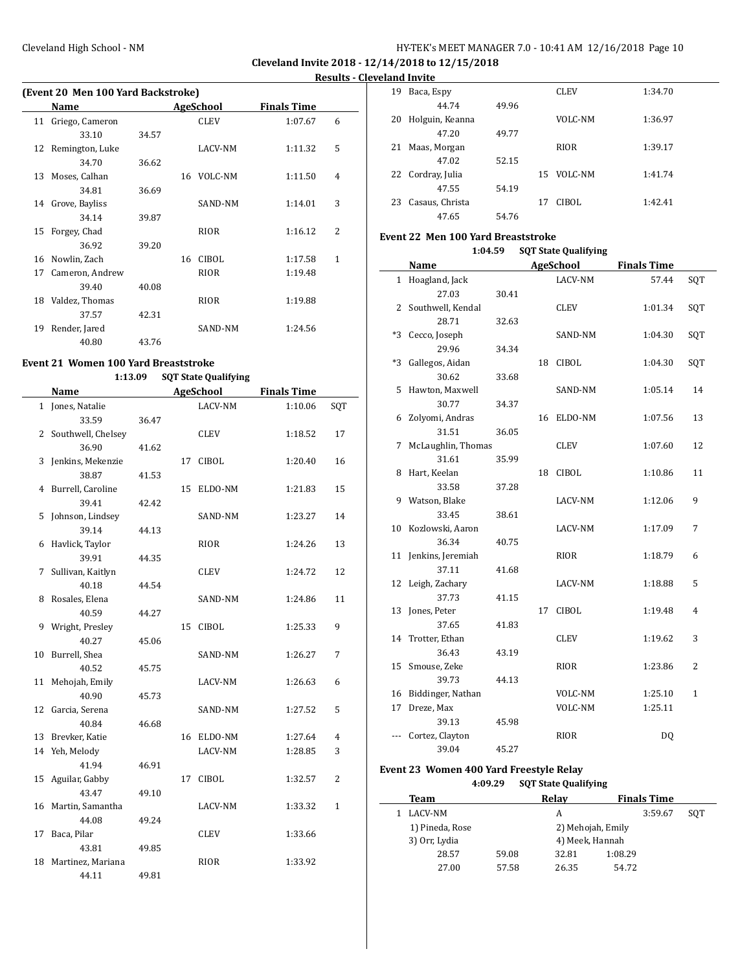**Cleveland Invite 2018 - 12/14/2018 to 12/15/2018 Results - Cleveland Invite**

|    | (Event 20 Men 100 Yard Backstroke) |       |    |             |                    |   |  |  |  |  |
|----|------------------------------------|-------|----|-------------|--------------------|---|--|--|--|--|
|    | Name                               |       |    | AgeSchool   | <b>Finals Time</b> |   |  |  |  |  |
| 11 | Griego, Cameron                    |       |    | <b>CLEV</b> | 1:07.67            | 6 |  |  |  |  |
|    | 33.10                              | 34.57 |    |             |                    |   |  |  |  |  |
|    | 12 Remington, Luke                 |       |    | LACV-NM     | 1:11.32            | 5 |  |  |  |  |
|    | 34.70                              | 36.62 |    |             |                    |   |  |  |  |  |
| 13 | Moses, Calhan                      |       | 16 | VOLC-NM     | 1:11.50            | 4 |  |  |  |  |
|    | 34.81                              | 36.69 |    |             |                    |   |  |  |  |  |
| 14 | Grove, Bayliss                     |       |    | SAND-NM     | 1:14.01            | 3 |  |  |  |  |
|    | 34.14                              | 39.87 |    |             |                    |   |  |  |  |  |
| 15 | Forgey, Chad                       |       |    | RIOR        | 1:16.12            | 2 |  |  |  |  |
|    | 36.92                              | 39.20 |    |             |                    |   |  |  |  |  |
| 16 | Nowlin, Zach                       |       | 16 | CIBOL       | 1:17.58            | 1 |  |  |  |  |
| 17 | Cameron, Andrew                    |       |    | RIOR        | 1:19.48            |   |  |  |  |  |
|    | 39.40                              | 40.08 |    |             |                    |   |  |  |  |  |
| 18 | Valdez, Thomas                     |       |    | RIOR        | 1:19.88            |   |  |  |  |  |
|    | 37.57                              | 42.31 |    |             |                    |   |  |  |  |  |
| 19 | Render, Jared                      |       |    | SAND-NM     | 1:24.56            |   |  |  |  |  |
|    | 40.80                              | 43.76 |    |             |                    |   |  |  |  |  |

# **Event 21 Women 100 Yard Breaststroke**

## **1:13.09 SQT State Qualifying**

|    | <b>Name</b>        |       | <b>AgeSchool</b> |              | <b>Finals Time</b> |                |
|----|--------------------|-------|------------------|--------------|--------------------|----------------|
|    | 1 Jones, Natalie   |       |                  | LACV-NM      | 1:10.06            | SQT            |
|    | 33.59              | 36.47 |                  |              |                    |                |
| 2  | Southwell, Chelsey |       |                  | CLEV         | 1:18.52            | 17             |
|    | 36.90              | 41.62 |                  |              |                    |                |
| 3  | Jenkins, Mekenzie  |       | 17               | <b>CIBOL</b> | 1:20.40            | 16             |
|    | 38.87              | 41.53 |                  |              |                    |                |
| 4  | Burrell, Caroline  |       | 15               | ELDO-NM      | 1:21.83            | 15             |
|    | 39.41              | 42.42 |                  |              |                    |                |
| 5  | Johnson, Lindsey   |       |                  | SAND-NM      | 1:23.27            | 14             |
|    | 39.14              | 44.13 |                  |              |                    |                |
| 6  | Havlick, Taylor    |       |                  | RIOR         | 1:24.26            | 13             |
|    | 39.91              | 44.35 |                  |              |                    |                |
| 7  | Sullivan, Kaitlyn  |       |                  | <b>CLEV</b>  | 1:24.72            | 12             |
|    | 40.18              | 44.54 |                  |              |                    |                |
| 8  | Rosales, Elena     |       |                  | SAND-NM      | 1:24.86            | 11             |
|    | 40.59              | 44.27 |                  |              |                    |                |
| 9  | Wright, Presley    |       | 15               | <b>CIBOL</b> | 1:25.33            | 9              |
|    | 40.27              | 45.06 |                  |              |                    |                |
| 10 | Burrell, Shea      |       |                  | SAND-NM      | 1:26.27            | 7              |
|    | 40.52              | 45.75 |                  |              |                    |                |
| 11 | Mehojah, Emily     |       |                  | LACV-NM      | 1:26.63            | 6              |
|    | 40.90              | 45.73 |                  |              |                    |                |
| 12 | Garcia, Serena     |       |                  | SAND-NM      | 1:27.52            | 5              |
|    | 40.84              | 46.68 |                  |              |                    |                |
| 13 | Brevker, Katie     |       | 16               | ELDO-NM      | 1:27.64            | 4              |
| 14 | Yeh, Melody        |       |                  | LACV-NM      | 1:28.85            | 3              |
|    | 41.94              | 46.91 |                  |              |                    |                |
| 15 | Aguilar, Gabby     |       | 17               | CIBOL        | 1:32.57            | $\overline{2}$ |
|    | 43.47              | 49.10 |                  |              |                    |                |
| 16 | Martin, Samantha   |       |                  | LACV-NM      | 1:33.32            | 1              |
|    | 44.08              | 49.24 |                  |              |                    |                |
| 17 | Baca, Pilar        |       |                  | <b>CLEV</b>  | 1:33.66            |                |
|    | 43.81              | 49.85 |                  |              |                    |                |
| 18 | Martinez, Mariana  |       |                  | <b>RIOR</b>  | 1:33.92            |                |
|    | 44.11              | 49.81 |                  |              |                    |                |

|    | тани нічне      |       |    |             |         |
|----|-----------------|-------|----|-------------|---------|
| 19 | Baca, Espy      |       |    | <b>CLEV</b> | 1:34.70 |
|    | 44.74           | 49.96 |    |             |         |
| 20 | Holguin, Keanna |       |    | VOLC-NM     | 1:36.97 |
|    | 47.20           | 49.77 |    |             |         |
| 21 | Maas, Morgan    |       |    | <b>RIOR</b> | 1:39.17 |
|    | 47.02           | 52.15 |    |             |         |
| 22 | Cordray, Julia  |       | 15 | VOLC-NM     | 1:41.74 |
|    | 47.55           | 54.19 |    |             |         |
| 23 | Casaus, Christa |       | 17 | CIBOL       | 1:42.41 |
|    | 47.65           | 54.76 |    |             |         |

#### **Event 22 Men 100 Yard Breaststroke**

| 1:04.59 | <b>SQT State Qualifying</b> |
|---------|-----------------------------|
|---------|-----------------------------|

|          | Name                     |       |    | <b>AgeSchool</b> | <b>Finals Time</b> |     |
|----------|--------------------------|-------|----|------------------|--------------------|-----|
|          | 1 Hoagland, Jack         |       |    | LACV-NM          | 57.44              | SQT |
|          | 27.03                    | 30.41 |    |                  |                    |     |
|          | 2 Southwell, Kendal      |       |    | CLEV             | 1:01.34            | SQT |
|          | 28.71                    | 32.63 |    |                  |                    |     |
| $\ast 3$ | Cecco, Joseph            |       |    | SAND-NM          | 1:04.30            | SQT |
|          | 29.96                    | 34.34 |    |                  |                    |     |
| *3       | Gallegos, Aidan          |       | 18 | <b>CIBOL</b>     | 1:04.30            | SQT |
|          | 30.62                    | 33.68 |    |                  |                    |     |
| 5        | Hawton, Maxwell          |       |    | SAND-NM          | 1:05.14            | 14  |
|          | 30.77                    | 34.37 |    |                  |                    |     |
| 6        | Zolyomi, Andras          |       | 16 | ELDO-NM          | 1:07.56            | 13  |
|          | 31.51                    | 36.05 |    |                  |                    |     |
| 7        | McLaughlin, Thomas       |       |    | CLEV             | 1:07.60            | 12  |
|          | 31.61                    | 35.99 |    |                  |                    |     |
| 8        | Hart, Keelan             |       | 18 | CIBOL            | 1:10.86            | 11  |
|          | 33.58                    | 37.28 |    |                  |                    |     |
| 9        | Watson, Blake            |       |    | LACV-NM          | 1:12.06            | 9   |
|          | 33.45                    | 38.61 |    |                  |                    |     |
| 10       | Kozlowski, Aaron         |       |    | LACV-NM          | 1:17.09            | 7   |
|          | 36.34                    | 40.75 |    |                  |                    |     |
| 11       | Jenkins, Jeremiah        |       |    | RIOR             | 1:18.79            | 6   |
|          | 37.11                    | 41.68 |    |                  |                    |     |
| 12       | Leigh, Zachary           |       |    | LACV-NM          | 1:18.88            | 5   |
|          | 37.73                    | 41.15 |    |                  |                    |     |
| 13       | Jones, Peter             |       | 17 | <b>CIBOL</b>     | 1:19.48            | 4   |
|          | 37.65                    | 41.83 |    |                  |                    |     |
| 14       | Trotter, Ethan           |       |    | <b>CLEV</b>      | 1:19.62            | 3   |
|          | 36.43                    | 43.19 |    |                  |                    |     |
| 15       | Smouse, Zeke             |       |    | RIOR             | 1:23.86            | 2   |
|          | 39.73                    | 44.13 |    |                  |                    |     |
|          | 16 Biddinger, Nathan     |       |    | VOLC-NM          | 1:25.10            | 1   |
| 17       | Dreze, Max               |       |    | VOLC-NM          | 1:25.11            |     |
|          | 39.13                    | 45.98 |    |                  |                    |     |
|          | Cortez, Clayton<br>39.04 |       |    | <b>RIOR</b>      | DQ                 |     |
|          |                          | 45.27 |    |                  |                    |     |

## **Event 23 Women 400 Yard Freestyle Relay 4:09.29 SQT State Qualifying**

| Team            |                   | Relay |         | <b>Finals Time</b> |     |  |  |
|-----------------|-------------------|-------|---------|--------------------|-----|--|--|
| LACV-NM         |                   | А     |         | 3:59.67            | SOT |  |  |
| 1) Pineda, Rose | 2) Mehojah, Emily |       |         |                    |     |  |  |
| 3) Orr, Lydia   | 4) Meek, Hannah   |       |         |                    |     |  |  |
| 28.57           | 59.08             | 32.81 | 1:08.29 |                    |     |  |  |
| 27.00           | 57.58             | 26.35 | 54.72   |                    |     |  |  |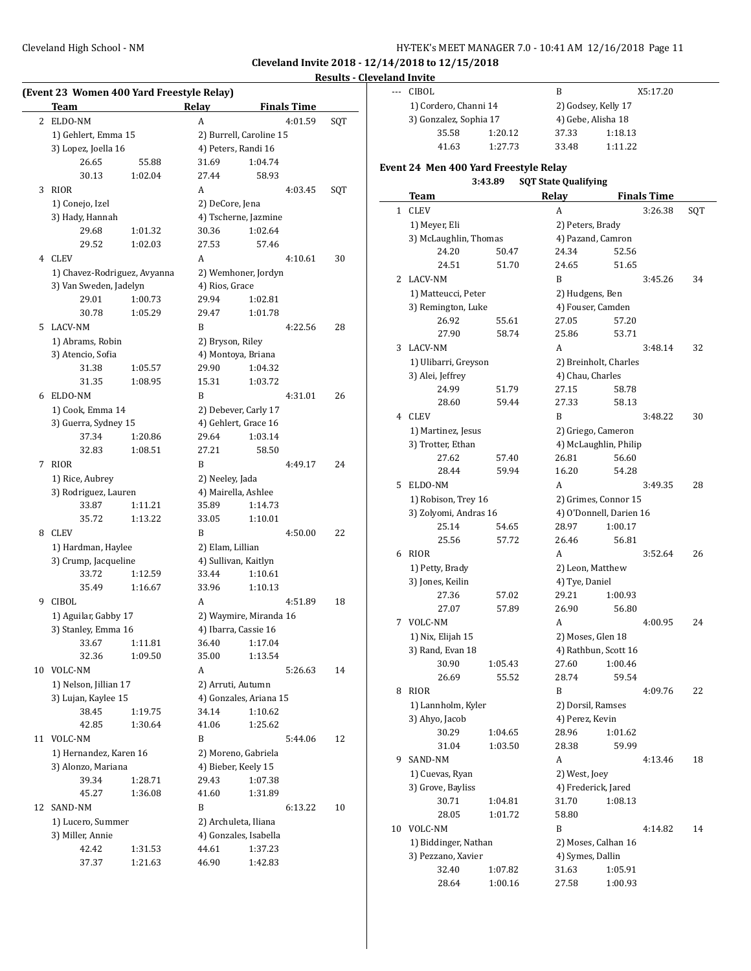**Cleveland Invite 2018 - 12/14/2018 to 12/15/2018**

## **Results - Cleveland Invite**

|    | <b>Team</b>                  |         | Relay            | <b>Finals Time</b>      |     |
|----|------------------------------|---------|------------------|-------------------------|-----|
| 2  | ELDO-NM                      |         | A                | 4:01.59                 | SQT |
|    | 1) Gehlert, Emma 15          |         |                  | 2) Burrell, Caroline 15 |     |
|    | 3) Lopez, Joella 16          |         |                  | 4) Peters, Randi 16     |     |
|    | 26.65                        | 55.88   | 31.69            | 1:04.74                 |     |
|    | 30.13                        | 1:02.04 | 27.44            | 58.93                   |     |
| 3  | <b>RIOR</b>                  |         | A                | 4:03.45                 | SQT |
|    | 1) Conejo, Izel              |         | 2) DeCore, Jena  |                         |     |
|    | 3) Hady, Hannah              |         |                  | 4) Tscherne, Jazmine    |     |
|    | 29.68                        | 1:01.32 | 30.36            | 1:02.64                 |     |
|    | 29.52                        | 1:02.03 | 27.53            | 57.46                   |     |
|    | 4 CLEV                       |         | A                | 4:10.61                 | 30  |
|    | 1) Chavez-Rodriguez, Avyanna |         |                  | 2) Wemhoner, Jordyn     |     |
|    | 3) Van Sweden, Jadelyn       |         | 4) Rios, Grace   |                         |     |
|    | 29.01                        | 1:00.73 | 29.94            | 1:02.81                 |     |
|    | 30.78                        | 1:05.29 | 29.47            | 1:01.78                 |     |
| 5  | <b>LACV-NM</b>               |         | B                | 4:22.56                 | 28  |
|    | 1) Abrams, Robin             |         | 2) Bryson, Riley |                         |     |
|    | 3) Atencio, Sofia            |         |                  | 4) Montova, Briana      |     |
|    | 31.38                        | 1:05.57 | 29.90            | 1:04.32                 |     |
|    | 31.35                        | 1:08.95 | 15.31            | 1:03.72                 |     |
| 6  | ELDO-NM                      |         | B                | 4:31.01                 | 26  |
|    | 1) Cook, Emma 14             |         |                  | 2) Debever, Carly 17    |     |
|    | 3) Guerra, Sydney 15         |         |                  | 4) Gehlert, Grace 16    |     |
|    | 37.34                        | 1:20.86 | 29.64            | 1:03.14                 |     |
|    | 32.83                        | 1:08.51 | 27.21            | 58.50                   |     |
| 7  | <b>RIOR</b>                  |         | B                | 4:49.17                 | 24  |
|    | 1) Rice, Aubrey              |         | 2) Neeley, Jada  |                         |     |
|    | 3) Rodriguez, Lauren         |         |                  | 4) Mairella, Ashlee     |     |
|    | 33.87                        | 1:11.21 | 35.89            | 1:14.73                 |     |
|    | 35.72                        | 1:13.22 | 33.05            | 1:10.01                 |     |
| 8  | CLEV                         |         | B                | 4:50.00                 | 22  |
|    | 1) Hardman, Haylee           |         | 2) Elam, Lillian |                         |     |
|    | 3) Crump, Jacqueline         |         |                  | 4) Sullivan, Kaitlyn    |     |
|    | 33.72                        | 1:12.59 | 33.44            | 1:10.61                 |     |
|    | 35.49                        | 1:16.67 | 33.96            | 1:10.13                 |     |
| 9  | <b>CIBOL</b>                 |         | А                | 4:51.89                 | 18  |
|    | 1) Aguilar, Gabby 17         |         |                  | 2) Waymire, Miranda 16  |     |
|    | 3) Stanley, Emma 16          |         |                  | 4) Ibarra, Cassie 16    |     |
|    | 33.67                        | 1:11.81 | 36.40            | 1:17.04                 |     |
|    | 32.36                        | 1:09.50 | 35.00            | 1:13.54                 |     |
|    | 10 VOLC-NM                   |         | А                | 5:26.63                 | 14  |
|    | 1) Nelson, Jillian 17        |         |                  | 2) Arruti, Autumn       |     |
|    | 3) Lujan, Kaylee 15          |         |                  | 4) Gonzales, Ariana 15  |     |
|    | 38.45                        | 1:19.75 | 34.14            | 1:10.62                 |     |
|    | 42.85                        | 1:30.64 | 41.06            | 1:25.62                 |     |
|    | 11 VOLC-NM                   |         | B                | 5:44.06                 | 12  |
|    | 1) Hernandez, Karen 16       |         |                  | 2) Moreno, Gabriela     |     |
|    | 3) Alonzo, Mariana           |         |                  | 4) Bieber, Keely 15     |     |
|    | 39.34                        | 1:28.71 | 29.43            | 1:07.38                 |     |
|    | 45.27                        | 1:36.08 | 41.60            | 1:31.89                 |     |
| 12 | SAND-NM                      |         | B                | 6:13.22                 | 10  |
|    | 1) Lucero, Summer            |         |                  | 2) Archuleta, Iliana    |     |
|    | 3) Miller, Annie             |         |                  | 4) Gonzales, Isabella   |     |
|    |                              | 1:31.53 | 44.61            | 1:37.23                 |     |
|    | 42.42                        |         |                  |                         |     |

| cianu invite |                                          |                    |       |                                           |                    |     |  |
|--------------|------------------------------------------|--------------------|-------|-------------------------------------------|--------------------|-----|--|
| ---          | CIBOL                                    |                    | B     |                                           | X5:17.20           |     |  |
|              | 1) Cordero, Channi 14                    |                    |       | 2) Godsey, Kelly 17                       |                    |     |  |
|              | 3) Gonzalez, Sophia 17                   |                    |       | 4) Gebe, Alisha 18                        |                    |     |  |
|              | 35.58<br>1:20.12                         |                    | 37.33 | 1:18.13                                   |                    |     |  |
|              | 41.63                                    | 1:27.73            | 33.48 | 1:11.22                                   |                    |     |  |
|              |                                          |                    |       |                                           |                    |     |  |
|              | Event 24 Men 400 Yard Freestyle Relay    |                    |       |                                           |                    |     |  |
|              |                                          | 3:43.89            |       | <b>SQT State Qualifying</b>               |                    |     |  |
|              | Team                                     |                    | Relay |                                           | <b>Finals Time</b> |     |  |
| $\mathbf{1}$ | <b>CLEV</b>                              |                    | A     |                                           | 3:26.38            | SQT |  |
|              | 1) Meyer, Eli                            |                    |       | 2) Peters, Brady                          |                    |     |  |
|              | 3) McLaughlin, Thomas                    |                    |       | 4) Pazand, Camron                         |                    |     |  |
|              | 24.20                                    | 50.47              | 24.34 | 52.56                                     |                    |     |  |
|              | 24.51                                    | 51.70              | 24.65 | 51.65                                     |                    |     |  |
|              | 2 LACV-NM                                |                    | B     |                                           | 3:45.26            | 34  |  |
|              | 1) Matteucci, Peter                      |                    |       | 2) Hudgens, Ben                           |                    |     |  |
|              | 3) Remington, Luke                       |                    |       | 4) Fouser, Camden                         |                    |     |  |
|              | 26.92                                    | 55.61              | 27.05 | 57.20                                     |                    |     |  |
|              | 27.90                                    | 58.74              | 25.86 | 53.71                                     |                    |     |  |
| 3            | LACV-NM                                  |                    | A     |                                           | 3:48.14            | 32  |  |
|              |                                          |                    |       |                                           |                    |     |  |
|              | 1) Ulibarri, Greyson<br>3) Alei, Jeffrey |                    |       | 2) Breinholt, Charles<br>4) Chau, Charles |                    |     |  |
|              |                                          |                    | 27.15 |                                           |                    |     |  |
|              | 24.99                                    | 51.79              |       | 58.78                                     |                    |     |  |
|              | 28.60                                    | 59.44              | 27.33 | 58.13                                     |                    |     |  |
|              | 4 CLEV                                   |                    | B     |                                           | 3:48.22            | 30  |  |
|              |                                          | 1) Martinez, Jesus |       | 2) Griego, Cameron                        |                    |     |  |
|              | 3) Trotter, Ethan                        |                    |       | 4) McLaughlin, Philip                     |                    |     |  |
|              | 27.62                                    | 57.40              | 26.81 | 56.60                                     |                    |     |  |
|              | 28.44                                    | 59.94              | 16.20 | 54.28                                     |                    |     |  |
| 5            | ELDO-NM                                  |                    | A     |                                           | 3:49.35            | 28  |  |
|              | 1) Robison, Trey 16                      |                    |       | 2) Grimes, Connor 15                      |                    |     |  |
|              | 3) Zolyomi, Andras 16                    |                    |       | 4) O'Donnell, Darien 16                   |                    |     |  |
|              | 25.14                                    | 54.65              | 28.97 | 1:00.17                                   |                    |     |  |
|              | 25.56                                    | 57.72              | 26.46 | 56.81                                     |                    |     |  |
| 6            | <b>RIOR</b>                              |                    | A     |                                           | 3:52.64            | 26  |  |
|              | 1) Petty, Brady                          |                    |       | 2) Leon, Matthew                          |                    |     |  |
|              | 3) Jones, Keilin                         |                    |       | 4) Tye, Daniel                            |                    |     |  |
|              | 27.36                                    | 57.02              | 29.21 | 1:00.93                                   |                    |     |  |
|              | 27.07                                    | 57.89              | 26.90 | 56.80                                     |                    |     |  |
| 7            | VOLC-NM                                  |                    | A     |                                           | 4:00.95            | 24  |  |
|              | 1) Nix, Elijah 15                        |                    |       | 2) Moses, Glen 18                         |                    |     |  |
|              | 3) Rand, Evan 18                         |                    |       | 4) Rathbun, Scott 16                      |                    |     |  |
|              | 30.90                                    | 1:05.43            | 27.60 | 1:00.46                                   |                    |     |  |
|              | 26.69                                    | 55.52              | 28.74 | 59.54                                     |                    |     |  |
|              | 8 RIOR                                   |                    | B     |                                           | 4:09.76            | 22  |  |
|              | 1) Lannholm, Kyler                       |                    |       |                                           |                    |     |  |
|              | 3) Ahyo, Jacob                           |                    |       | 2) Dorsil, Ramses<br>4) Perez, Kevin      |                    |     |  |
|              | 30.29                                    | 1:04.65            | 28.96 | 1:01.62                                   |                    |     |  |
|              | 31.04                                    | 1:03.50            | 28.38 | 59.99                                     |                    |     |  |
|              |                                          |                    |       |                                           |                    |     |  |
| 9.           | SAND-NM                                  |                    | A     |                                           | 4:13.46            | 18  |  |
|              | 1) Cuevas, Ryan                          |                    |       | 2) West, Joey                             |                    |     |  |
|              | 3) Grove, Bayliss                        |                    |       | 4) Frederick, Jared                       |                    |     |  |
|              | 30.71                                    | 1:04.81            | 31.70 | 1:08.13                                   |                    |     |  |
|              | 28.05                                    | 1:01.72            | 58.80 |                                           |                    |     |  |
|              | 10 VOLC-NM                               |                    | B     |                                           | 4:14.82            | 14  |  |
|              | 1) Biddinger, Nathan                     |                    |       | 2) Moses, Calhan 16                       |                    |     |  |
|              | 3) Pezzano, Xavier                       |                    |       | 4) Symes, Dallin                          |                    |     |  |
|              | 32.40                                    | 1:07.82            | 31.63 | 1:05.91                                   |                    |     |  |
|              | 28.64                                    | 1:00.16            | 27.58 | 1:00.93                                   |                    |     |  |